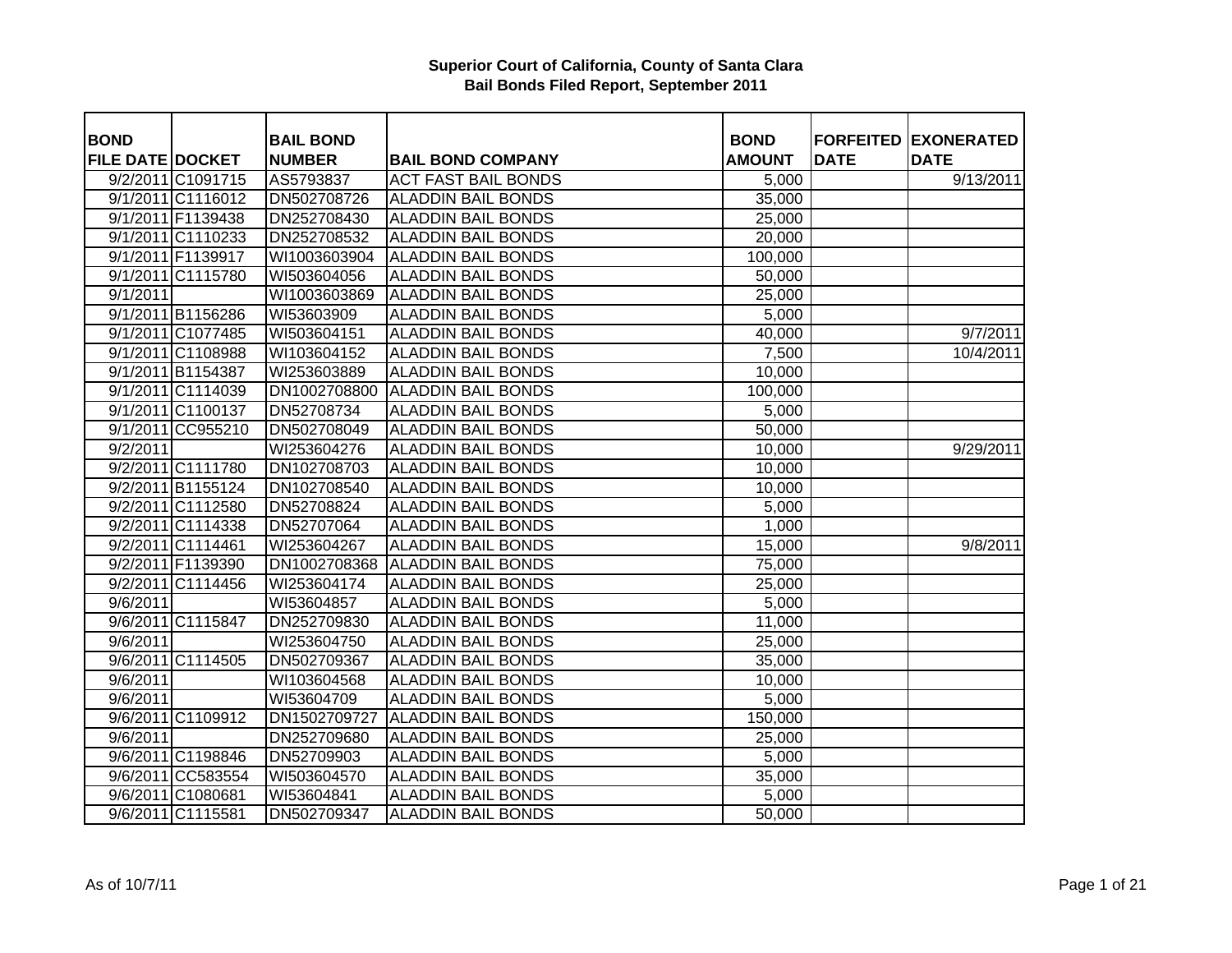| <b>BOND</b>             |                   | <b>BAIL BOND</b> |                            | <b>BOND</b>   |             | <b>FORFEITED EXONERATED</b> |
|-------------------------|-------------------|------------------|----------------------------|---------------|-------------|-----------------------------|
| <b>FILE DATE DOCKET</b> |                   | <b>NUMBER</b>    | <b>BAIL BOND COMPANY</b>   | <b>AMOUNT</b> | <b>DATE</b> | <b>DATE</b>                 |
|                         | 9/2/2011 C1091715 | AS5793837        | <b>ACT FAST BAIL BONDS</b> | 5,000         |             | 9/13/2011                   |
|                         | 9/1/2011 C1116012 | DN502708726      | <b>ALADDIN BAIL BONDS</b>  | 35,000        |             |                             |
|                         | 9/1/2011 F1139438 | DN252708430      | <b>ALADDIN BAIL BONDS</b>  | 25,000        |             |                             |
|                         | 9/1/2011 C1110233 | DN252708532      | <b>ALADDIN BAIL BONDS</b>  | 20,000        |             |                             |
|                         | 9/1/2011 F1139917 | WI1003603904     | <b>ALADDIN BAIL BONDS</b>  | 100,000       |             |                             |
|                         | 9/1/2011 C1115780 | WI503604056      | <b>ALADDIN BAIL BONDS</b>  | 50,000        |             |                             |
| 9/1/2011                |                   | WI1003603869     | <b>ALADDIN BAIL BONDS</b>  | 25,000        |             |                             |
|                         | 9/1/2011 B1156286 | WI53603909       | <b>ALADDIN BAIL BONDS</b>  | 5,000         |             |                             |
|                         | 9/1/2011 C1077485 | WI503604151      | <b>ALADDIN BAIL BONDS</b>  | 40,000        |             | 9/7/2011                    |
|                         | 9/1/2011 C1108988 | WI103604152      | <b>ALADDIN BAIL BONDS</b>  | 7,500         |             | 10/4/2011                   |
|                         | 9/1/2011 B1154387 | WI253603889      | <b>ALADDIN BAIL BONDS</b>  | 10,000        |             |                             |
|                         | 9/1/2011 C1114039 | DN1002708800     | <b>ALADDIN BAIL BONDS</b>  | 100,000       |             |                             |
|                         | 9/1/2011 C1100137 | DN52708734       | <b>ALADDIN BAIL BONDS</b>  | 5,000         |             |                             |
|                         | 9/1/2011 CC955210 | DN502708049      | <b>ALADDIN BAIL BONDS</b>  | 50,000        |             |                             |
| 9/2/2011                |                   | WI253604276      | <b>ALADDIN BAIL BONDS</b>  | 10,000        |             | 9/29/2011                   |
|                         | 9/2/2011 C1111780 | DN102708703      | <b>ALADDIN BAIL BONDS</b>  | 10,000        |             |                             |
|                         | 9/2/2011 B1155124 | DN102708540      | <b>ALADDIN BAIL BONDS</b>  | 10,000        |             |                             |
|                         | 9/2/2011 C1112580 | DN52708824       | <b>ALADDIN BAIL BONDS</b>  | 5,000         |             |                             |
|                         | 9/2/2011 C1114338 | DN52707064       | <b>ALADDIN BAIL BONDS</b>  | 1,000         |             |                             |
|                         | 9/2/2011 C1114461 | WI253604267      | <b>ALADDIN BAIL BONDS</b>  | 15,000        |             | 9/8/2011                    |
|                         | 9/2/2011 F1139390 | DN1002708368     | <b>ALADDIN BAIL BONDS</b>  | 75,000        |             |                             |
|                         | 9/2/2011 C1114456 | WI253604174      | <b>ALADDIN BAIL BONDS</b>  | 25,000        |             |                             |
| 9/6/2011                |                   | WI53604857       | <b>ALADDIN BAIL BONDS</b>  | 5,000         |             |                             |
|                         | 9/6/2011 C1115847 | DN252709830      | <b>ALADDIN BAIL BONDS</b>  | 11,000        |             |                             |
| 9/6/2011                |                   | WI253604750      | <b>ALADDIN BAIL BONDS</b>  | 25,000        |             |                             |
|                         | 9/6/2011 C1114505 | DN502709367      | <b>ALADDIN BAIL BONDS</b>  | 35,000        |             |                             |
| 9/6/2011                |                   | WI103604568      | <b>ALADDIN BAIL BONDS</b>  | 10,000        |             |                             |
| 9/6/2011                |                   | WI53604709       | <b>ALADDIN BAIL BONDS</b>  | 5,000         |             |                             |
|                         | 9/6/2011 C1109912 | DN1502709727     | <b>ALADDIN BAIL BONDS</b>  | 150,000       |             |                             |
| 9/6/2011                |                   | DN252709680      | <b>ALADDIN BAIL BONDS</b>  | 25,000        |             |                             |
|                         | 9/6/2011 C1198846 | DN52709903       | <b>ALADDIN BAIL BONDS</b>  | 5,000         |             |                             |
|                         | 9/6/2011 CC583554 | WI503604570      | <b>ALADDIN BAIL BONDS</b>  | 35,000        |             |                             |
|                         | 9/6/2011 C1080681 | WI53604841       | <b>ALADDIN BAIL BONDS</b>  | 5,000         |             |                             |
|                         | 9/6/2011 C1115581 | DN502709347      | <b>ALADDIN BAIL BONDS</b>  | 50,000        |             |                             |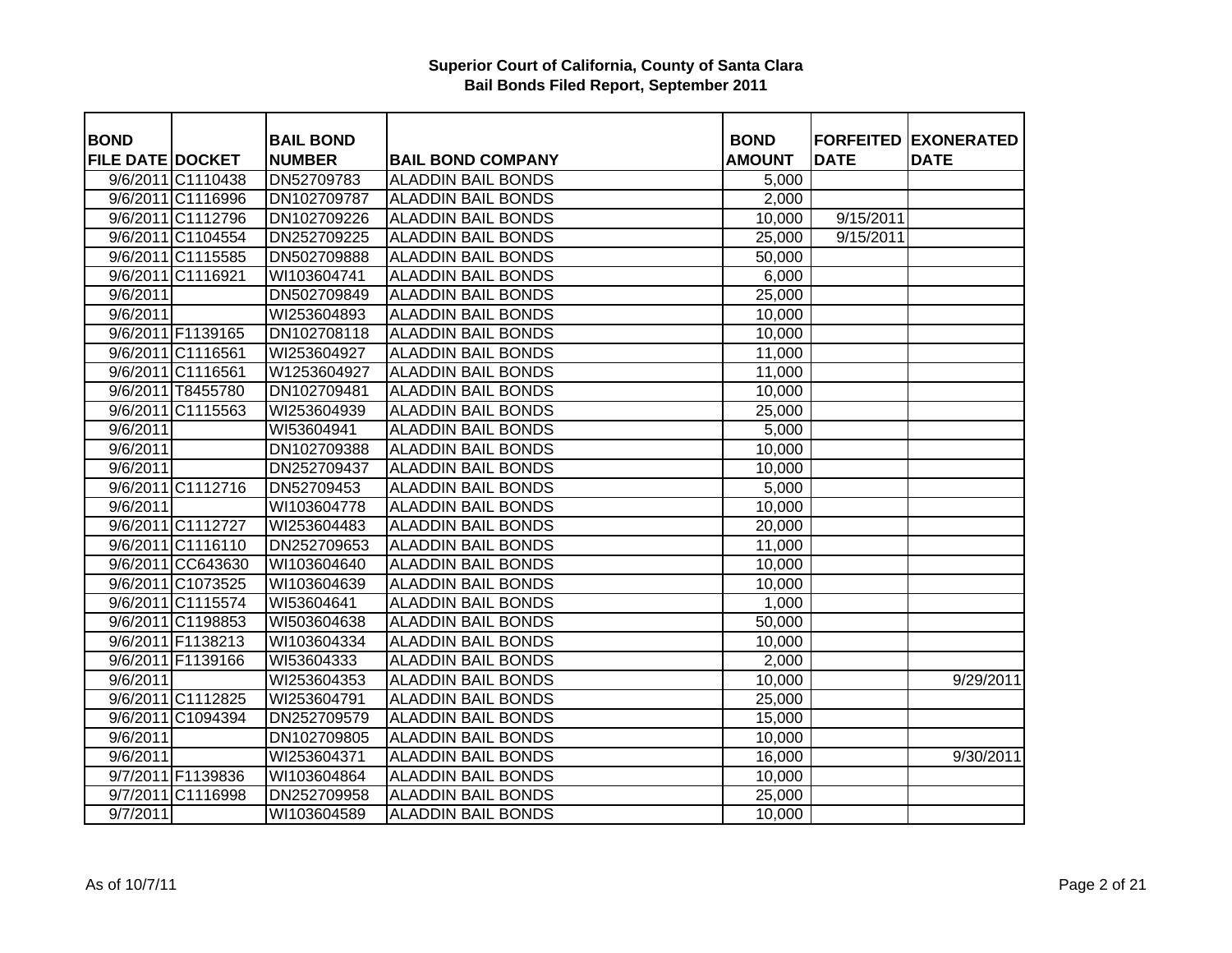| <b>BOND</b>             |                   | <b>BAIL BOND</b> |                           | <b>BOND</b>         |             | <b>FORFEITED EXONERATED</b> |
|-------------------------|-------------------|------------------|---------------------------|---------------------|-------------|-----------------------------|
| <b>FILE DATE DOCKET</b> |                   | <b>NUMBER</b>    | <b>BAIL BOND COMPANY</b>  | <b>AMOUNT</b>       | <b>DATE</b> | <b>DATE</b>                 |
|                         | 9/6/2011 C1110438 | DN52709783       | <b>ALADDIN BAIL BONDS</b> | 5,000               |             |                             |
|                         | 9/6/2011 C1116996 | DN102709787      | <b>ALADDIN BAIL BONDS</b> | 2,000               |             |                             |
|                         | 9/6/2011 C1112796 | DN102709226      | <b>ALADDIN BAIL BONDS</b> | $\overline{10,000}$ | 9/15/2011   |                             |
|                         | 9/6/2011 C1104554 | DN252709225      | <b>ALADDIN BAIL BONDS</b> | 25,000              | 9/15/2011   |                             |
|                         | 9/6/2011 C1115585 | DN502709888      | <b>ALADDIN BAIL BONDS</b> | 50,000              |             |                             |
|                         | 9/6/2011 C1116921 | WI103604741      | <b>ALADDIN BAIL BONDS</b> | 6,000               |             |                             |
| 9/6/2011                |                   | DN502709849      | <b>ALADDIN BAIL BONDS</b> | 25,000              |             |                             |
| 9/6/2011                |                   | WI253604893      | <b>ALADDIN BAIL BONDS</b> | 10,000              |             |                             |
|                         | 9/6/2011 F1139165 | DN102708118      | <b>ALADDIN BAIL BONDS</b> | 10,000              |             |                             |
|                         | 9/6/2011 C1116561 | WI253604927      | <b>ALADDIN BAIL BONDS</b> | 11,000              |             |                             |
|                         | 9/6/2011 C1116561 | W1253604927      | <b>ALADDIN BAIL BONDS</b> | 11,000              |             |                             |
|                         | 9/6/2011 T8455780 | DN102709481      | <b>ALADDIN BAIL BONDS</b> | 10,000              |             |                             |
|                         | 9/6/2011 C1115563 | WI253604939      | <b>ALADDIN BAIL BONDS</b> | 25,000              |             |                             |
| 9/6/2011                |                   | WI53604941       | <b>ALADDIN BAIL BONDS</b> | 5,000               |             |                             |
| 9/6/2011                |                   | DN102709388      | <b>ALADDIN BAIL BONDS</b> | 10,000              |             |                             |
| 9/6/2011                |                   | DN252709437      | <b>ALADDIN BAIL BONDS</b> | 10,000              |             |                             |
|                         | 9/6/2011 C1112716 | DN52709453       | <b>ALADDIN BAIL BONDS</b> | 5,000               |             |                             |
| 9/6/2011                |                   | WI103604778      | <b>ALADDIN BAIL BONDS</b> | 10,000              |             |                             |
|                         | 9/6/2011 C1112727 | WI253604483      | <b>ALADDIN BAIL BONDS</b> | 20,000              |             |                             |
|                         | 9/6/2011 C1116110 | DN252709653      | <b>ALADDIN BAIL BONDS</b> | 11,000              |             |                             |
|                         | 9/6/2011 CC643630 | WI103604640      | <b>ALADDIN BAIL BONDS</b> | 10,000              |             |                             |
|                         | 9/6/2011 C1073525 | WI103604639      | <b>ALADDIN BAIL BONDS</b> | 10,000              |             |                             |
|                         | 9/6/2011 C1115574 | WI53604641       | <b>ALADDIN BAIL BONDS</b> | 1,000               |             |                             |
|                         | 9/6/2011 C1198853 | WI503604638      | <b>ALADDIN BAIL BONDS</b> | 50,000              |             |                             |
|                         | 9/6/2011 F1138213 | WI103604334      | <b>ALADDIN BAIL BONDS</b> | 10,000              |             |                             |
|                         | 9/6/2011 F1139166 | WI53604333       | <b>ALADDIN BAIL BONDS</b> | 2,000               |             |                             |
| 9/6/2011                |                   | WI253604353      | <b>ALADDIN BAIL BONDS</b> | 10,000              |             | 9/29/2011                   |
|                         | 9/6/2011 C1112825 | WI253604791      | <b>ALADDIN BAIL BONDS</b> | 25,000              |             |                             |
|                         | 9/6/2011 C1094394 | DN252709579      | <b>ALADDIN BAIL BONDS</b> | 15,000              |             |                             |
| $\frac{1}{9}$ /6/2011   |                   | DN102709805      | <b>ALADDIN BAIL BONDS</b> | 10,000              |             |                             |
| 9/6/2011                |                   | WI253604371      | <b>ALADDIN BAIL BONDS</b> | 16,000              |             | 9/30/2011                   |
|                         | 9/7/2011 F1139836 | WI103604864      | <b>ALADDIN BAIL BONDS</b> | 10,000              |             |                             |
|                         | 9/7/2011 C1116998 | DN252709958      | <b>ALADDIN BAIL BONDS</b> | 25,000              |             |                             |
| 9/7/2011                |                   | WI103604589      | <b>ALADDIN BAIL BONDS</b> | 10,000              |             |                             |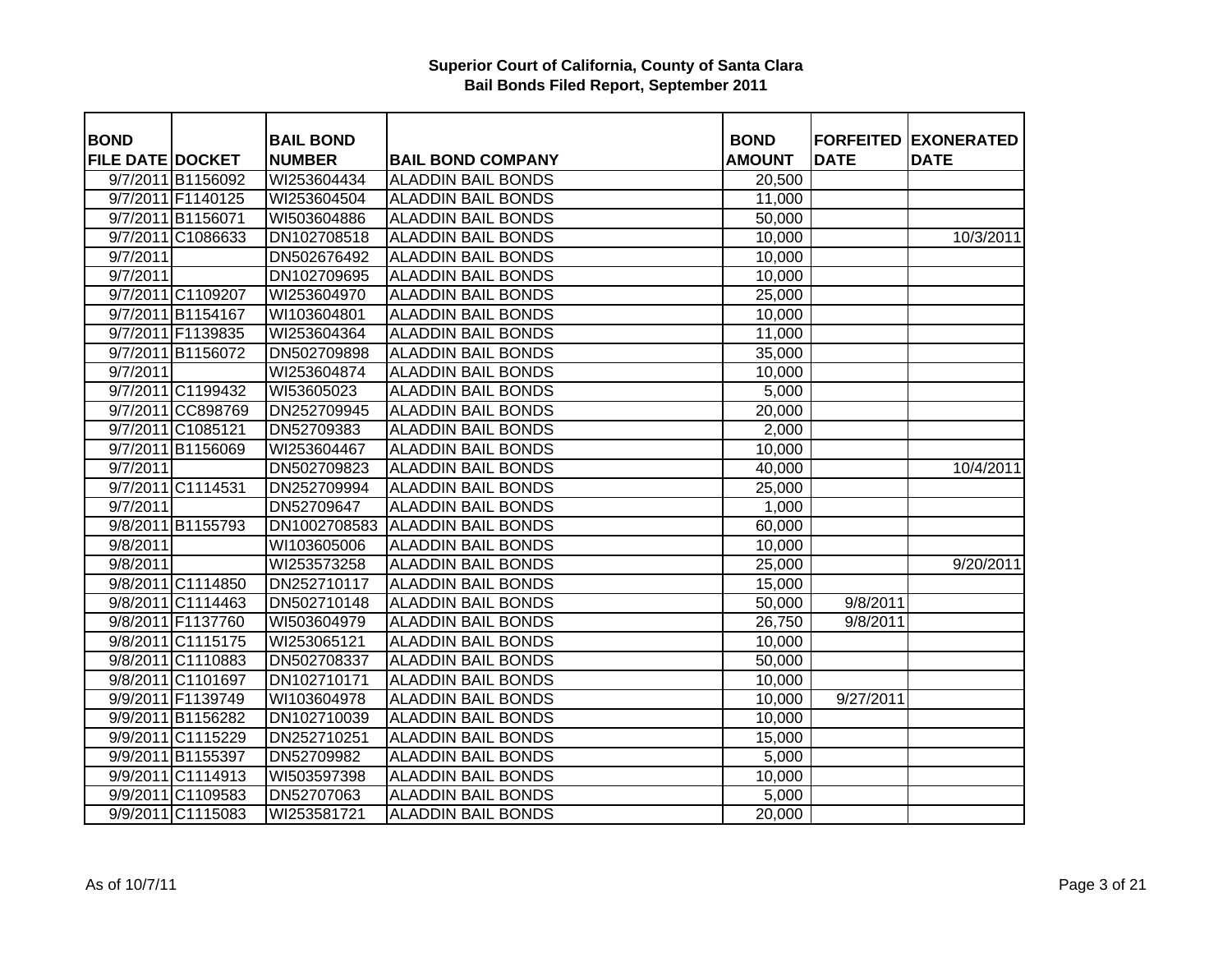| <b>BOND</b>             |                   | <b>BAIL BOND</b> |                           | <b>BOND</b>   |             | <b>FORFEITED EXONERATED</b> |
|-------------------------|-------------------|------------------|---------------------------|---------------|-------------|-----------------------------|
| <b>FILE DATE DOCKET</b> |                   | <b>NUMBER</b>    | <b>BAIL BOND COMPANY</b>  | <b>AMOUNT</b> | <b>DATE</b> | <b>DATE</b>                 |
|                         | 9/7/2011 B1156092 | WI253604434      | <b>ALADDIN BAIL BONDS</b> | 20,500        |             |                             |
|                         | 9/7/2011 F1140125 | WI253604504      | <b>ALADDIN BAIL BONDS</b> | 11,000        |             |                             |
|                         | 9/7/2011 B1156071 | WI503604886      | <b>ALADDIN BAIL BONDS</b> | 50,000        |             |                             |
|                         | 9/7/2011 C1086633 | DN102708518      | <b>ALADDIN BAIL BONDS</b> | 10,000        |             | 10/3/2011                   |
| 9/7/2011                |                   | DN502676492      | <b>ALADDIN BAIL BONDS</b> | 10,000        |             |                             |
| 9/7/2011                |                   | DN102709695      | <b>ALADDIN BAIL BONDS</b> | 10,000        |             |                             |
|                         | 9/7/2011 C1109207 | WI253604970      | <b>ALADDIN BAIL BONDS</b> | 25,000        |             |                             |
|                         | 9/7/2011 B1154167 | WI103604801      | <b>ALADDIN BAIL BONDS</b> | 10,000        |             |                             |
|                         | 9/7/2011 F1139835 | WI253604364      | <b>ALADDIN BAIL BONDS</b> | 11,000        |             |                             |
|                         | 9/7/2011 B1156072 | DN502709898      | <b>ALADDIN BAIL BONDS</b> | 35,000        |             |                             |
| 9/7/2011                |                   | WI253604874      | <b>ALADDIN BAIL BONDS</b> | 10,000        |             |                             |
|                         | 9/7/2011 C1199432 | WI53605023       | <b>ALADDIN BAIL BONDS</b> | 5,000         |             |                             |
|                         | 9/7/2011 CC898769 | DN252709945      | <b>ALADDIN BAIL BONDS</b> | 20,000        |             |                             |
|                         | 9/7/2011 C1085121 | DN52709383       | <b>ALADDIN BAIL BONDS</b> | 2,000         |             |                             |
|                         | 9/7/2011 B1156069 | WI253604467      | <b>ALADDIN BAIL BONDS</b> | 10,000        |             |                             |
| 9/7/2011                |                   | DN502709823      | <b>ALADDIN BAIL BONDS</b> | 40,000        |             | 10/4/2011                   |
|                         | 9/7/2011 C1114531 | DN252709994      | <b>ALADDIN BAIL BONDS</b> | 25,000        |             |                             |
| 9/7/2011                |                   | DN52709647       | <b>ALADDIN BAIL BONDS</b> | 1,000         |             |                             |
|                         | 9/8/2011 B1155793 | DN1002708583     | <b>ALADDIN BAIL BONDS</b> | 60,000        |             |                             |
| 9/8/2011                |                   | WI103605006      | <b>ALADDIN BAIL BONDS</b> | 10,000        |             |                             |
| 9/8/2011                |                   | WI253573258      | <b>ALADDIN BAIL BONDS</b> | 25,000        |             | 9/20/2011                   |
|                         | 9/8/2011 C1114850 | DN252710117      | <b>ALADDIN BAIL BONDS</b> | 15,000        |             |                             |
|                         | 9/8/2011 C1114463 | DN502710148      | <b>ALADDIN BAIL BONDS</b> | 50,000        | 9/8/2011    |                             |
|                         | 9/8/2011 F1137760 | WI503604979      | <b>ALADDIN BAIL BONDS</b> | 26,750        | 9/8/2011    |                             |
|                         | 9/8/2011 C1115175 | WI253065121      | <b>ALADDIN BAIL BONDS</b> | 10,000        |             |                             |
|                         | 9/8/2011 C1110883 | DN502708337      | <b>ALADDIN BAIL BONDS</b> | 50,000        |             |                             |
|                         | 9/8/2011 C1101697 | DN102710171      | <b>ALADDIN BAIL BONDS</b> | 10,000        |             |                             |
|                         | 9/9/2011 F1139749 | WI103604978      | <b>ALADDIN BAIL BONDS</b> | 10,000        | 9/27/2011   |                             |
|                         | 9/9/2011 B1156282 | DN102710039      | <b>ALADDIN BAIL BONDS</b> | 10,000        |             |                             |
|                         | 9/9/2011 C1115229 | DN252710251      | <b>ALADDIN BAIL BONDS</b> | 15,000        |             |                             |
|                         | 9/9/2011 B1155397 | DN52709982       | <b>ALADDIN BAIL BONDS</b> | 5,000         |             |                             |
|                         | 9/9/2011 C1114913 | WI503597398      | <b>ALADDIN BAIL BONDS</b> | 10,000        |             |                             |
|                         | 9/9/2011 C1109583 | DN52707063       | <b>ALADDIN BAIL BONDS</b> | 5,000         |             |                             |
|                         | 9/9/2011 C1115083 | WI253581721      | <b>ALADDIN BAIL BONDS</b> | 20,000        |             |                             |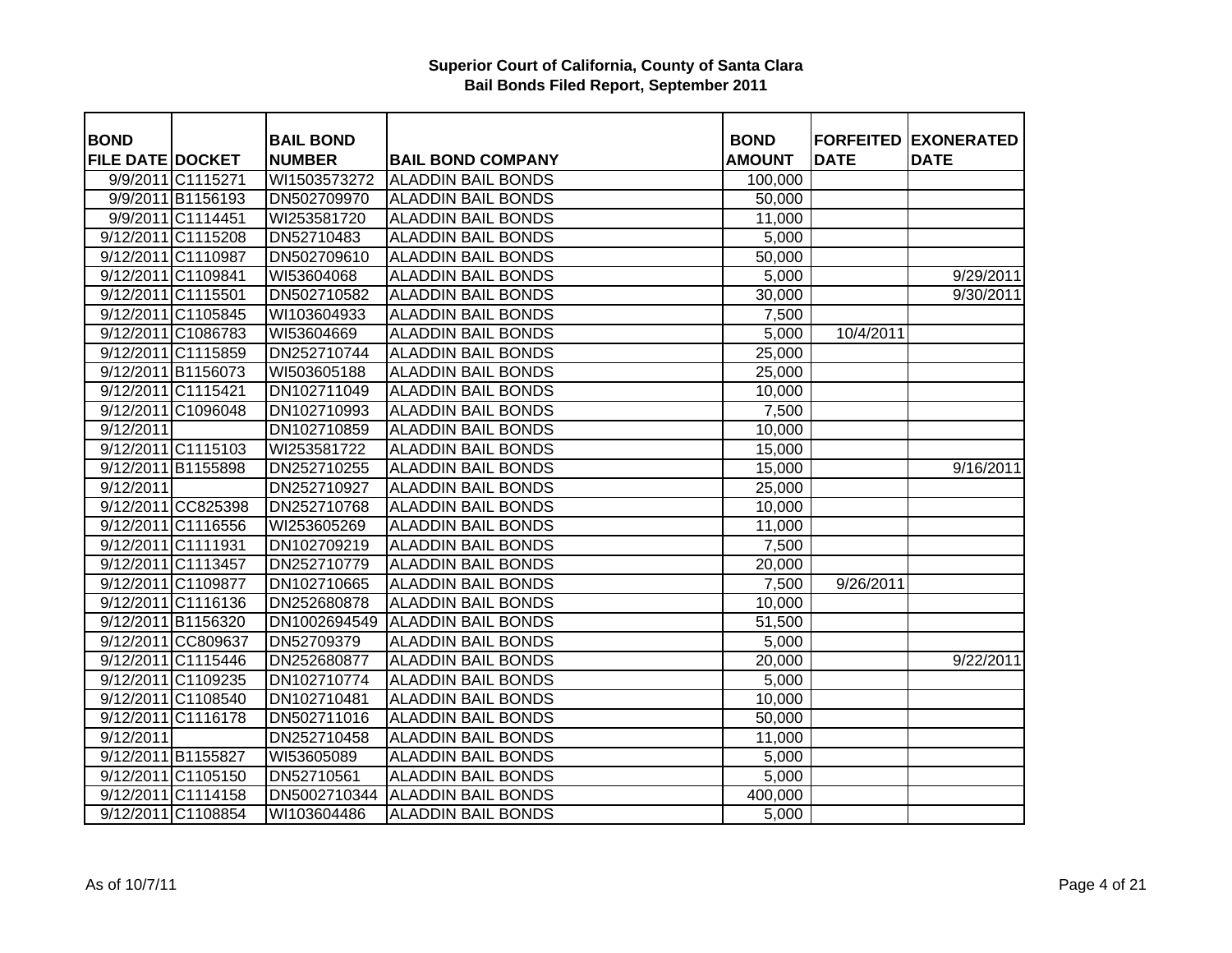| <b>BOND</b>             |                    | <b>BAIL BOND</b> |                           | <b>BOND</b>   |             | <b>FORFEITED EXONERATED</b> |
|-------------------------|--------------------|------------------|---------------------------|---------------|-------------|-----------------------------|
| <b>FILE DATE DOCKET</b> |                    | <b>NUMBER</b>    | <b>BAIL BOND COMPANY</b>  | <b>AMOUNT</b> | <b>DATE</b> | <b>DATE</b>                 |
|                         | 9/9/2011 C1115271  | WI1503573272     | <b>ALADDIN BAIL BONDS</b> | 100,000       |             |                             |
|                         | 9/9/2011 B1156193  | DN502709970      | <b>ALADDIN BAIL BONDS</b> | 50,000        |             |                             |
|                         | 9/9/2011 C1114451  | WI253581720      | <b>ALADDIN BAIL BONDS</b> | 11,000        |             |                             |
|                         | 9/12/2011 C1115208 | DN52710483       | <b>ALADDIN BAIL BONDS</b> | 5,000         |             |                             |
|                         | 9/12/2011 C1110987 | DN502709610      | <b>ALADDIN BAIL BONDS</b> | 50,000        |             |                             |
|                         | 9/12/2011 C1109841 | WI53604068       | <b>ALADDIN BAIL BONDS</b> | 5,000         |             | 9/29/2011                   |
|                         | 9/12/2011 C1115501 | DN502710582      | <b>ALADDIN BAIL BONDS</b> | 30,000        |             | 9/30/2011                   |
|                         | 9/12/2011 C1105845 | WI103604933      | <b>ALADDIN BAIL BONDS</b> | 7,500         |             |                             |
|                         | 9/12/2011 C1086783 | WI53604669       | <b>ALADDIN BAIL BONDS</b> | 5,000         | 10/4/2011   |                             |
|                         | 9/12/2011 C1115859 | DN252710744      | <b>ALADDIN BAIL BONDS</b> | 25,000        |             |                             |
|                         | 9/12/2011 B1156073 | WI503605188      | <b>ALADDIN BAIL BONDS</b> | 25,000        |             |                             |
|                         | 9/12/2011 C1115421 | DN102711049      | <b>ALADDIN BAIL BONDS</b> | 10,000        |             |                             |
|                         | 9/12/2011 C1096048 | DN102710993      | <b>ALADDIN BAIL BONDS</b> | 7,500         |             |                             |
| 9/12/2011               |                    | DN102710859      | <b>ALADDIN BAIL BONDS</b> | 10,000        |             |                             |
|                         | 9/12/2011 C1115103 | WI253581722      | <b>ALADDIN BAIL BONDS</b> | 15,000        |             |                             |
|                         | 9/12/2011 B1155898 | DN252710255      | <b>ALADDIN BAIL BONDS</b> | 15,000        |             | 9/16/2011                   |
| 9/12/2011               |                    | DN252710927      | <b>ALADDIN BAIL BONDS</b> | 25,000        |             |                             |
|                         | 9/12/2011 CC825398 | DN252710768      | <b>ALADDIN BAIL BONDS</b> | 10,000        |             |                             |
|                         | 9/12/2011 C1116556 | WI253605269      | <b>ALADDIN BAIL BONDS</b> | 11,000        |             |                             |
|                         | 9/12/2011 C1111931 | DN102709219      | <b>ALADDIN BAIL BONDS</b> | 7,500         |             |                             |
|                         | 9/12/2011 C1113457 | DN252710779      | <b>ALADDIN BAIL BONDS</b> | 20,000        |             |                             |
|                         | 9/12/2011 C1109877 | DN102710665      | <b>ALADDIN BAIL BONDS</b> | 7,500         | 9/26/2011   |                             |
|                         | 9/12/2011 C1116136 | DN252680878      | <b>ALADDIN BAIL BONDS</b> | 10,000        |             |                             |
|                         | 9/12/2011 B1156320 | DN1002694549     | <b>ALADDIN BAIL BONDS</b> | 51,500        |             |                             |
|                         | 9/12/2011 CC809637 | DN52709379       | <b>ALADDIN BAIL BONDS</b> | 5,000         |             |                             |
|                         | 9/12/2011 C1115446 | DN252680877      | <b>ALADDIN BAIL BONDS</b> | 20,000        |             | 9/22/2011                   |
|                         | 9/12/2011 C1109235 | DN102710774      | <b>ALADDIN BAIL BONDS</b> | 5,000         |             |                             |
|                         | 9/12/2011 C1108540 | DN102710481      | <b>ALADDIN BAIL BONDS</b> | 10,000        |             |                             |
|                         | 9/12/2011 C1116178 | DN502711016      | <b>ALADDIN BAIL BONDS</b> | 50,000        |             |                             |
| 9/12/2011               |                    | DN252710458      | <b>ALADDIN BAIL BONDS</b> | 11,000        |             |                             |
|                         | 9/12/2011 B1155827 | WI53605089       | <b>ALADDIN BAIL BONDS</b> | 5,000         |             |                             |
|                         | 9/12/2011 C1105150 | DN52710561       | <b>ALADDIN BAIL BONDS</b> | 5,000         |             |                             |
|                         | 9/12/2011 C1114158 | DN5002710344     | <b>ALADDIN BAIL BONDS</b> | 400,000       |             |                             |
|                         | 9/12/2011 C1108854 | WI103604486      | <b>ALADDIN BAIL BONDS</b> | 5,000         |             |                             |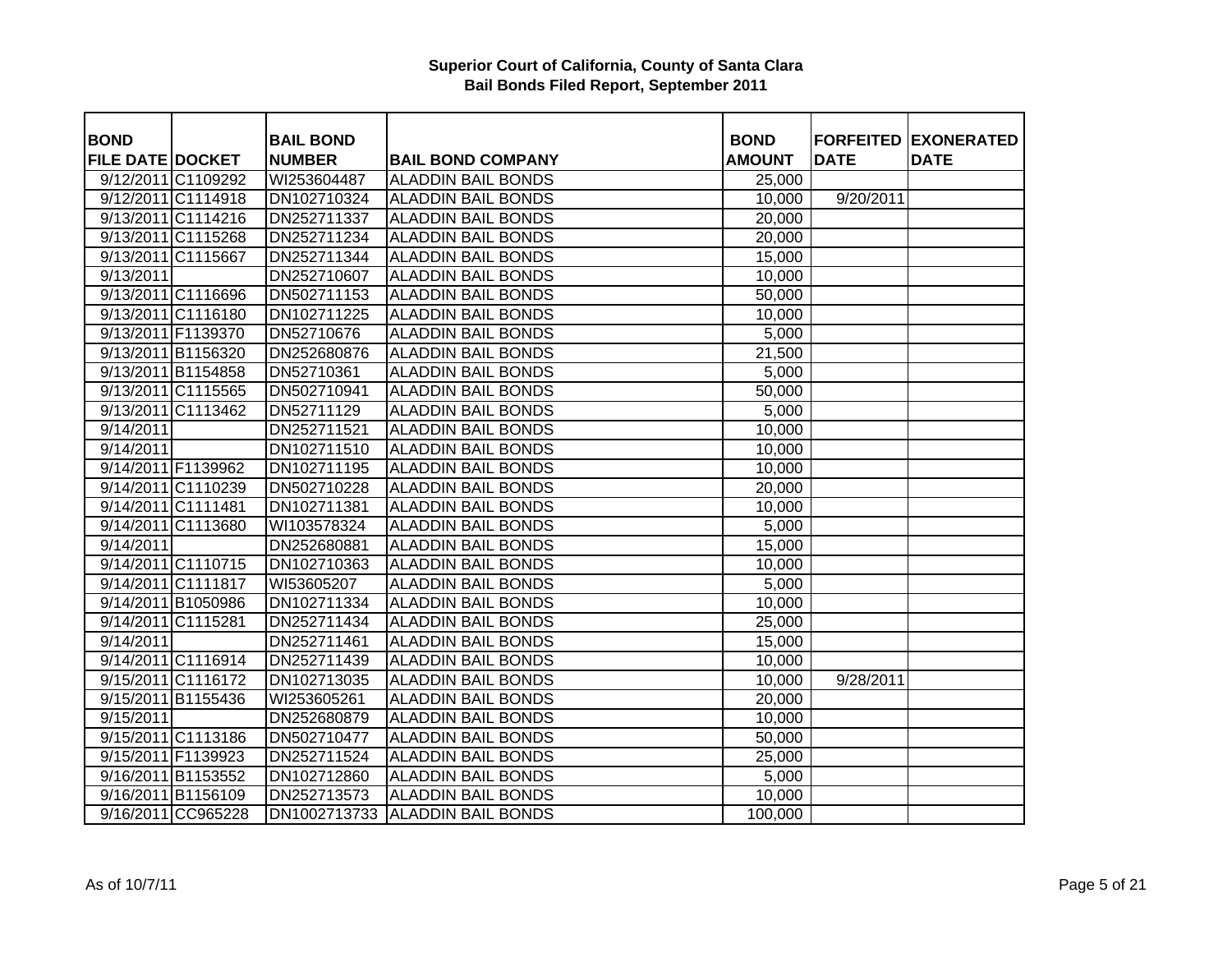| <b>BOND</b>             |                    | <b>BAIL BOND</b> |                            | <b>BOND</b>         |             | <b>FORFEITED EXONERATED</b> |
|-------------------------|--------------------|------------------|----------------------------|---------------------|-------------|-----------------------------|
| <b>FILE DATE DOCKET</b> |                    | <b>NUMBER</b>    | <b>BAIL BOND COMPANY</b>   | <b>AMOUNT</b>       | <b>DATE</b> | <b>DATE</b>                 |
|                         | 9/12/2011 C1109292 | WI253604487      | <b>ALADDIN BAIL BONDS</b>  | 25,000              |             |                             |
|                         | 9/12/2011 C1114918 | DN102710324      | <b>ALADDIN BAIL BONDS</b>  | $\overline{10,000}$ | 9/20/2011   |                             |
|                         | 9/13/2011 C1114216 | DN252711337      | <b>ALADDIN BAIL BONDS</b>  | 20,000              |             |                             |
|                         | 9/13/2011 C1115268 | DN252711234      | <b>ALADDIN BAIL BONDS</b>  | 20,000              |             |                             |
|                         | 9/13/2011 C1115667 | DN252711344      | <b>ALADDIN BAIL BONDS</b>  | 15,000              |             |                             |
| 9/13/2011               |                    | DN252710607      | <b>ALADDIN BAIL BONDS</b>  | 10,000              |             |                             |
|                         | 9/13/2011 C1116696 | DN502711153      | <b>ALADDIN BAIL BONDS</b>  | 50,000              |             |                             |
|                         | 9/13/2011 C1116180 | DN102711225      | <b>ALADDIN BAIL BONDS</b>  | 10,000              |             |                             |
|                         | 9/13/2011 F1139370 | DN52710676       | <b>ALADDIN BAIL BONDS</b>  | 5,000               |             |                             |
|                         | 9/13/2011 B1156320 | DN252680876      | <b>ALADDIN BAIL BONDS</b>  | 21,500              |             |                             |
|                         | 9/13/2011 B1154858 | DN52710361       | <b>ALADDIN BAIL BONDS</b>  | 5,000               |             |                             |
|                         | 9/13/2011 C1115565 | DN502710941      | <b>ALADDIN BAIL BONDS</b>  | 50,000              |             |                             |
|                         | 9/13/2011 C1113462 | DN52711129       | <b>ALADDIN BAIL BONDS</b>  | 5,000               |             |                             |
| 9/14/2011               |                    | DN252711521      | <b>ALADDIN BAIL BONDS</b>  | 10,000              |             |                             |
| 9/14/2011               |                    | DN102711510      | <b>ALADDIN BAIL BONDS</b>  | 10,000              |             |                             |
| 9/14/2011 F1139962      |                    | DN102711195      | <b>ALADDIN BAIL BONDS</b>  | 10,000              |             |                             |
|                         | 9/14/2011 C1110239 | DN502710228      | <b>ALADDIN BAIL BONDS</b>  |                     |             |                             |
|                         |                    |                  | <b>ALADDIN BAIL BONDS</b>  | 20,000              |             |                             |
| 9/14/2011 C1111481      |                    | DN102711381      |                            | 10,000              |             |                             |
|                         | 9/14/2011 C1113680 | WI103578324      | <b>ALADDIN BAIL BONDS</b>  | 5,000               |             |                             |
| 9/14/2011               |                    | DN252680881      | <b>ALADDIN BAIL BONDS</b>  | 15,000              |             |                             |
|                         | 9/14/2011 C1110715 | DN102710363      | <b>ALADDIN BAIL BONDS</b>  | 10,000              |             |                             |
|                         | 9/14/2011 C1111817 | WI53605207       | <b>ALADDIN BAIL BONDS</b>  | 5,000               |             |                             |
|                         | 9/14/2011 B1050986 | DN102711334      | <b>ALADDIN BAIL BONDS</b>  | 10,000              |             |                             |
| 9/14/2011 C1115281      |                    | DN252711434      | <b>ALADDIN BAIL BONDS</b>  | 25,000              |             |                             |
| 9/14/2011               |                    | DN252711461      | <b>ALADDIN BAIL BONDS</b>  | 15,000              |             |                             |
|                         | 9/14/2011 C1116914 | DN252711439      | <b>ALADDIN BAIL BONDS</b>  | 10,000              |             |                             |
|                         | 9/15/2011 C1116172 | DN102713035      | <b>ALADDIN BAIL BONDS</b>  | 10,000              | 9/28/2011   |                             |
|                         | 9/15/2011 B1155436 | WI253605261      | <b>ALADDIN BAIL BONDS</b>  | 20,000              |             |                             |
| 9/15/2011               |                    | DN252680879      | <b>ALADDIN BAIL BONDS</b>  | 10,000              |             |                             |
|                         | 9/15/2011 C1113186 | DN502710477      | <b>ALADDIN BAIL BONDS</b>  | 50,000              |             |                             |
| 9/15/2011 F1139923      |                    | DN252711524      | <b>ALADDIN BAIL BONDS</b>  | 25,000              |             |                             |
|                         | 9/16/2011 B1153552 | DN102712860      | <b>ALADDIN BAIL BONDS</b>  | 5,000               |             |                             |
|                         | 9/16/2011 B1156109 | DN252713573      | <b>ALADDIN BAIL BONDS</b>  | 10,000              |             |                             |
|                         | 9/16/2011 CC965228 | DN1002713733     | <b>IALADDIN BAIL BONDS</b> | 100,000             |             |                             |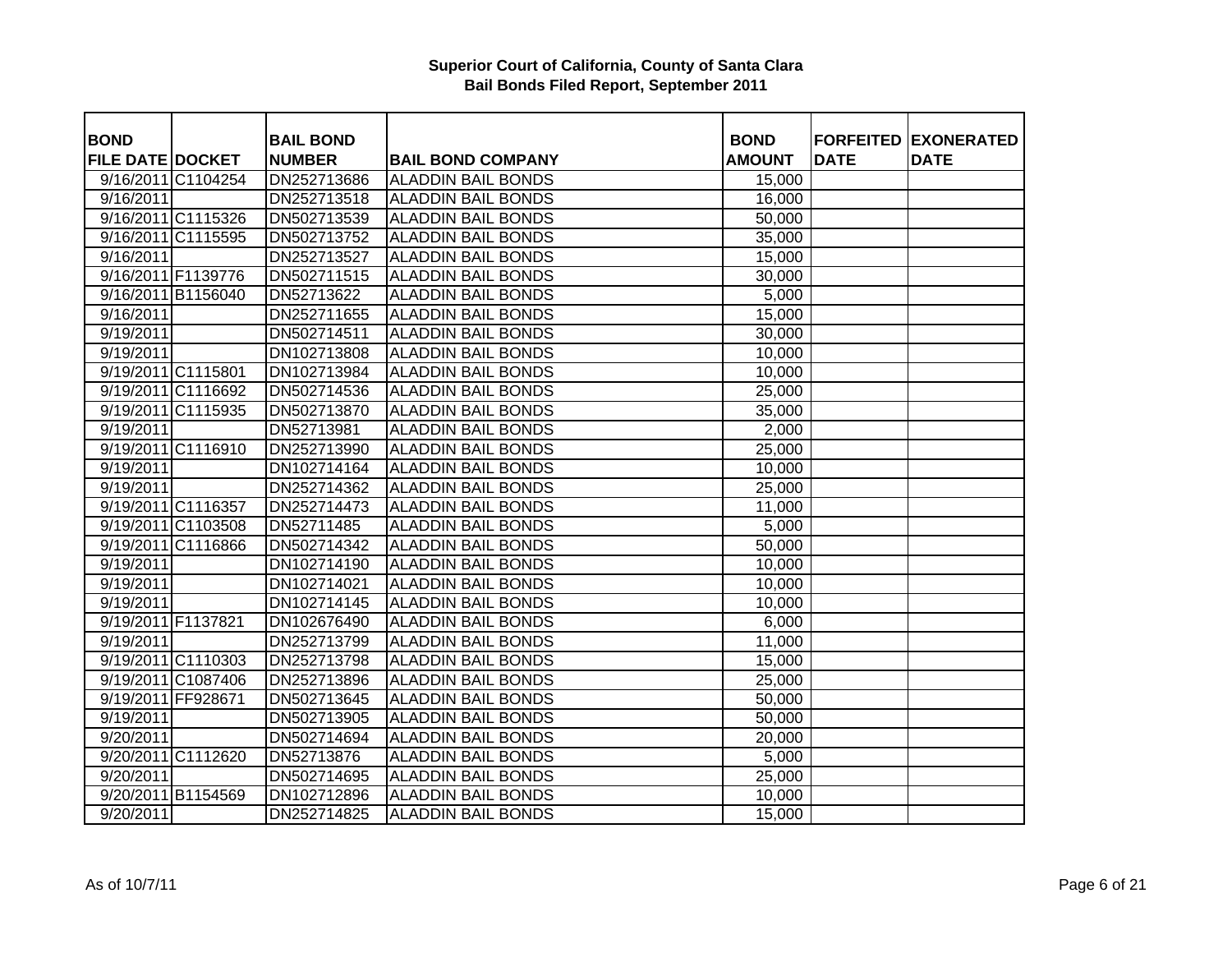| <b>BOND</b>             |                    | <b>BAIL BOND</b> |                           | <b>BOND</b>   | <b>FORFEITED</b> | <b>EXONERATED</b> |
|-------------------------|--------------------|------------------|---------------------------|---------------|------------------|-------------------|
| <b>FILE DATE DOCKET</b> |                    | <b>NUMBER</b>    | <b>BAIL BOND COMPANY</b>  | <b>AMOUNT</b> | <b>DATE</b>      | <b>DATE</b>       |
|                         | 9/16/2011 C1104254 | DN252713686      | <b>ALADDIN BAIL BONDS</b> | 15,000        |                  |                   |
| 9/16/2011               |                    | DN252713518      | <b>ALADDIN BAIL BONDS</b> | 16,000        |                  |                   |
|                         | 9/16/2011 C1115326 | DN502713539      | <b>ALADDIN BAIL BONDS</b> | 50,000        |                  |                   |
|                         | 9/16/2011 C1115595 | DN502713752      | <b>ALADDIN BAIL BONDS</b> | 35,000        |                  |                   |
| 9/16/2011               |                    | DN252713527      | <b>ALADDIN BAIL BONDS</b> | 15,000        |                  |                   |
|                         | 9/16/2011 F1139776 | DN502711515      | <b>ALADDIN BAIL BONDS</b> | 30,000        |                  |                   |
|                         | 9/16/2011 B1156040 | DN52713622       | <b>ALADDIN BAIL BONDS</b> | 5,000         |                  |                   |
| 9/16/2011               |                    | DN252711655      | <b>ALADDIN BAIL BONDS</b> | 15,000        |                  |                   |
| 9/19/2011               |                    | DN502714511      | <b>ALADDIN BAIL BONDS</b> | 30,000        |                  |                   |
| 9/19/2011               |                    | DN102713808      | <b>ALADDIN BAIL BONDS</b> | 10,000        |                  |                   |
|                         | 9/19/2011 C1115801 | DN102713984      | <b>ALADDIN BAIL BONDS</b> | 10,000        |                  |                   |
|                         | 9/19/2011 C1116692 | DN502714536      | <b>ALADDIN BAIL BONDS</b> | 25,000        |                  |                   |
|                         | 9/19/2011 C1115935 | DN502713870      | <b>ALADDIN BAIL BONDS</b> | 35,000        |                  |                   |
| 9/19/2011               |                    | DN52713981       | <b>ALADDIN BAIL BONDS</b> | 2,000         |                  |                   |
|                         | 9/19/2011 C1116910 | DN252713990      | <b>ALADDIN BAIL BONDS</b> | 25,000        |                  |                   |
| $\overline{9}$ /19/2011 |                    | DN102714164      | <b>ALADDIN BAIL BONDS</b> | 10,000        |                  |                   |
| 9/19/2011               |                    | DN252714362      | <b>ALADDIN BAIL BONDS</b> | 25,000        |                  |                   |
|                         | 9/19/2011 C1116357 | DN252714473      | <b>ALADDIN BAIL BONDS</b> | 11,000        |                  |                   |
|                         | 9/19/2011 C1103508 | DN52711485       | <b>ALADDIN BAIL BONDS</b> | 5,000         |                  |                   |
|                         | 9/19/2011 C1116866 | DN502714342      | <b>ALADDIN BAIL BONDS</b> | 50,000        |                  |                   |
| 9/19/2011               |                    | DN102714190      | <b>ALADDIN BAIL BONDS</b> | 10,000        |                  |                   |
| 9/19/2011               |                    | DN102714021      | <b>ALADDIN BAIL BONDS</b> | 10,000        |                  |                   |
| 9/19/2011               |                    | DN102714145      | <b>ALADDIN BAIL BONDS</b> | 10,000        |                  |                   |
| 9/19/2011 F1137821      |                    | DN102676490      | <b>ALADDIN BAIL BONDS</b> | 6,000         |                  |                   |
| 9/19/2011               |                    | DN252713799      | <b>ALADDIN BAIL BONDS</b> | 11,000        |                  |                   |
|                         | 9/19/2011 C1110303 | DN252713798      | <b>ALADDIN BAIL BONDS</b> | 15,000        |                  |                   |
|                         | 9/19/2011 C1087406 | DN252713896      | <b>ALADDIN BAIL BONDS</b> | 25,000        |                  |                   |
|                         | 9/19/2011 FF928671 | DN502713645      | <b>ALADDIN BAIL BONDS</b> | 50,000        |                  |                   |
| 9/19/2011               |                    | DN502713905      | <b>ALADDIN BAIL BONDS</b> | 50,000        |                  |                   |
| 9/20/2011               |                    | DN502714694      | <b>ALADDIN BAIL BONDS</b> | 20,000        |                  |                   |
|                         | 9/20/2011 C1112620 | DN52713876       | <b>ALADDIN BAIL BONDS</b> | 5,000         |                  |                   |
| 9/20/2011               |                    | DN502714695      | <b>ALADDIN BAIL BONDS</b> | 25,000        |                  |                   |
|                         | 9/20/2011 B1154569 | DN102712896      | <b>ALADDIN BAIL BONDS</b> | 10,000        |                  |                   |
| 9/20/2011               |                    | DN252714825      | <b>ALADDIN BAIL BONDS</b> | 15,000        |                  |                   |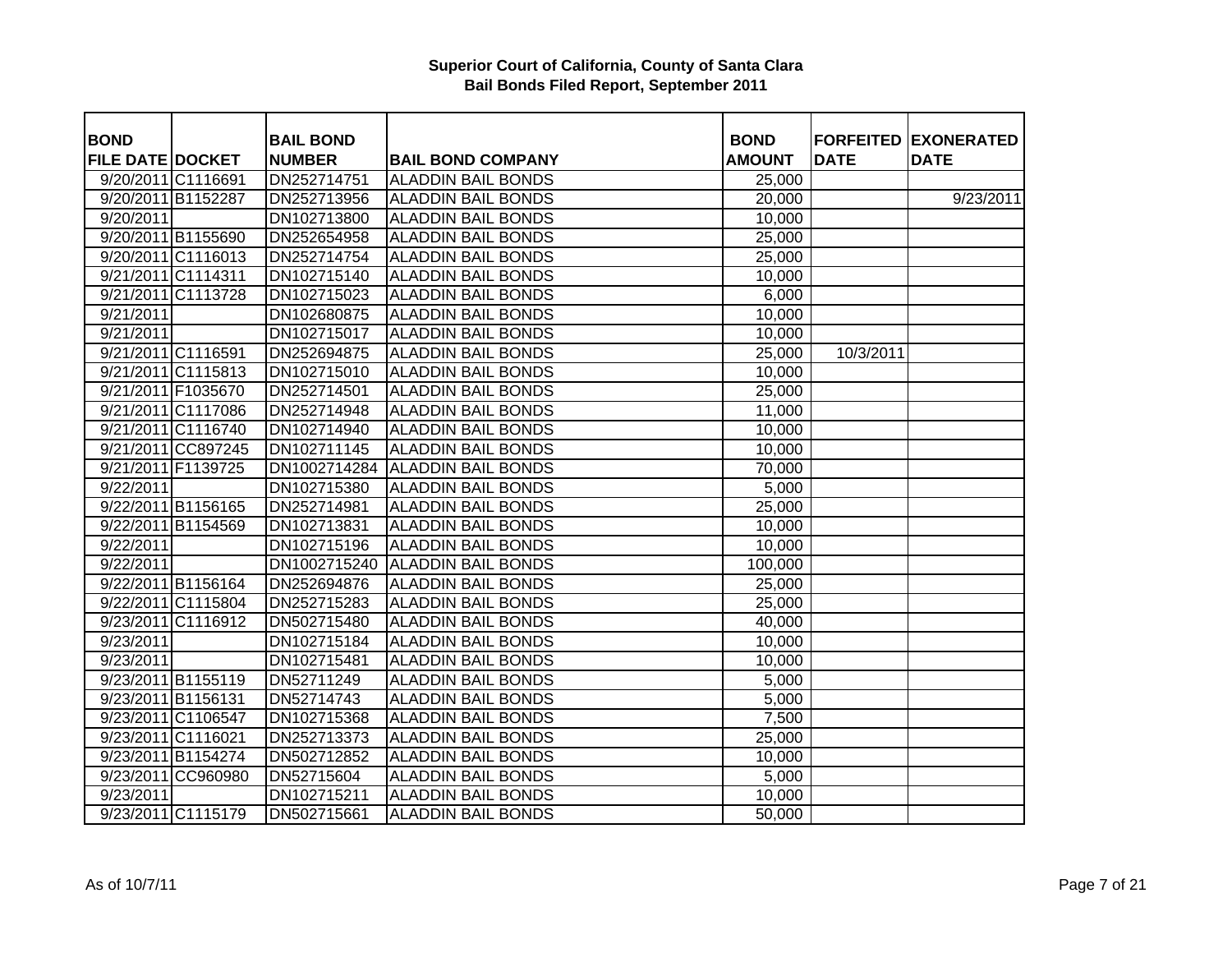| <b>BOND</b>             |                    | <b>BAIL BOND</b> |                           | <b>BOND</b>   |             | <b>FORFEITED EXONERATED</b> |
|-------------------------|--------------------|------------------|---------------------------|---------------|-------------|-----------------------------|
| <b>FILE DATE DOCKET</b> |                    | <b>NUMBER</b>    | <b>BAIL BOND COMPANY</b>  | <b>AMOUNT</b> | <b>DATE</b> | <b>DATE</b>                 |
| 9/20/2011 C1116691      |                    | DN252714751      | <b>ALADDIN BAIL BONDS</b> | 25,000        |             |                             |
|                         | 9/20/2011 B1152287 | DN252713956      | <b>ALADDIN BAIL BONDS</b> | 20,000        |             | 9/23/2011                   |
| 9/20/2011               |                    | DN102713800      | <b>ALADDIN BAIL BONDS</b> | 10,000        |             |                             |
|                         | 9/20/2011 B1155690 | DN252654958      | <b>ALADDIN BAIL BONDS</b> | 25,000        |             |                             |
|                         | 9/20/2011 C1116013 | DN252714754      | <b>ALADDIN BAIL BONDS</b> | 25,000        |             |                             |
|                         | 9/21/2011 C1114311 | DN102715140      | <b>ALADDIN BAIL BONDS</b> | 10,000        |             |                             |
|                         | 9/21/2011 C1113728 | DN102715023      | <b>ALADDIN BAIL BONDS</b> | 6,000         |             |                             |
| 9/21/2011               |                    | DN102680875      | <b>ALADDIN BAIL BONDS</b> | 10,000        |             |                             |
| 9/21/2011               |                    | DN102715017      | <b>ALADDIN BAIL BONDS</b> | 10,000        |             |                             |
|                         | 9/21/2011 C1116591 | DN252694875      | <b>ALADDIN BAIL BONDS</b> | 25,000        | 10/3/2011   |                             |
|                         | 9/21/2011 C1115813 | DN102715010      | <b>ALADDIN BAIL BONDS</b> | 10,000        |             |                             |
|                         | 9/21/2011 F1035670 | DN252714501      | <b>ALADDIN BAIL BONDS</b> | 25,000        |             |                             |
|                         | 9/21/2011 C1117086 | DN252714948      | <b>ALADDIN BAIL BONDS</b> | 11,000        |             |                             |
|                         | 9/21/2011 C1116740 | DN102714940      | <b>ALADDIN BAIL BONDS</b> | 10,000        |             |                             |
|                         | 9/21/2011 CC897245 | DN102711145      | <b>ALADDIN BAIL BONDS</b> | 10,000        |             |                             |
|                         | 9/21/2011 F1139725 | DN1002714284     | <b>ALADDIN BAIL BONDS</b> | 70,000        |             |                             |
| 9/22/2011               |                    | DN102715380      | <b>ALADDIN BAIL BONDS</b> | 5,000         |             |                             |
|                         | 9/22/2011 B1156165 | DN252714981      | <b>ALADDIN BAIL BONDS</b> | 25,000        |             |                             |
|                         | 9/22/2011 B1154569 | DN102713831      | <b>ALADDIN BAIL BONDS</b> | 10,000        |             |                             |
| 9/22/2011               |                    | DN102715196      | <b>ALADDIN BAIL BONDS</b> | 10,000        |             |                             |
| 9/22/2011               |                    | DN1002715240     | <b>ALADDIN BAIL BONDS</b> | 100,000       |             |                             |
|                         | 9/22/2011 B1156164 | DN252694876      | <b>ALADDIN BAIL BONDS</b> | 25,000        |             |                             |
|                         | 9/22/2011 C1115804 | DN252715283      | <b>ALADDIN BAIL BONDS</b> | 25,000        |             |                             |
|                         | 9/23/2011 C1116912 | DN502715480      | <b>ALADDIN BAIL BONDS</b> | 40,000        |             |                             |
| 9/23/2011               |                    | DN102715184      | <b>ALADDIN BAIL BONDS</b> | 10,000        |             |                             |
| 9/23/2011               |                    | DN102715481      | <b>ALADDIN BAIL BONDS</b> | 10,000        |             |                             |
|                         | 9/23/2011 B1155119 | DN52711249       | <b>ALADDIN BAIL BONDS</b> | 5,000         |             |                             |
|                         | 9/23/2011 B1156131 | DN52714743       | <b>ALADDIN BAIL BONDS</b> | 5,000         |             |                             |
|                         | 9/23/2011 C1106547 | DN102715368      | <b>ALADDIN BAIL BONDS</b> | 7,500         |             |                             |
|                         | 9/23/2011 C1116021 | DN252713373      | <b>ALADDIN BAIL BONDS</b> | 25,000        |             |                             |
|                         | 9/23/2011 B1154274 | DN502712852      | <b>ALADDIN BAIL BONDS</b> | 10,000        |             |                             |
|                         | 9/23/2011 CC960980 | DN52715604       | <b>ALADDIN BAIL BONDS</b> | 5,000         |             |                             |
| 9/23/2011               |                    | DN102715211      | <b>ALADDIN BAIL BONDS</b> | 10,000        |             |                             |
|                         | 9/23/2011 C1115179 | DN502715661      | <b>ALADDIN BAIL BONDS</b> | 50,000        |             |                             |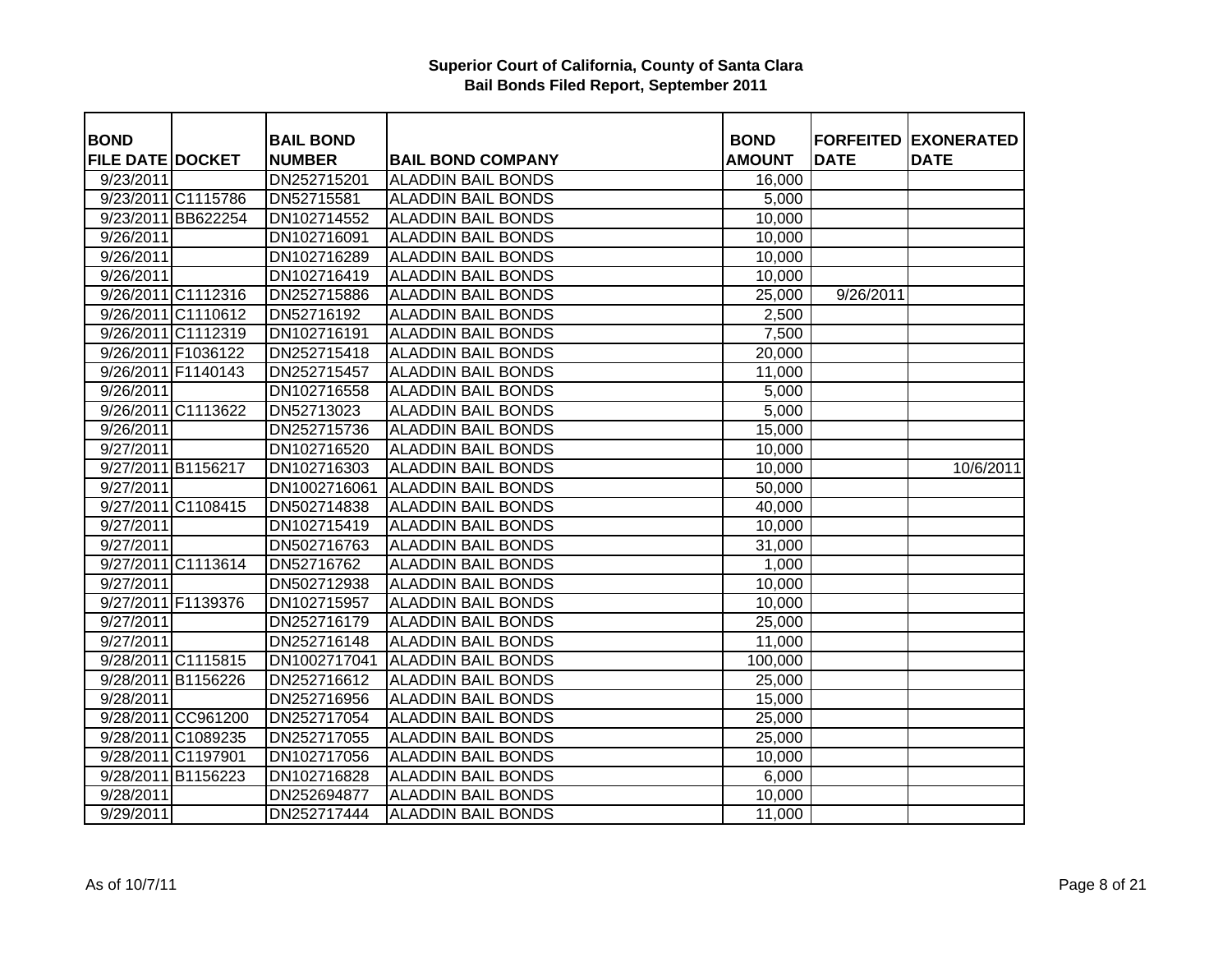| <b>BOND</b>             |                    | <b>BAIL BOND</b> |                           | <b>BOND</b>   |             | <b>FORFEITED EXONERATED</b> |
|-------------------------|--------------------|------------------|---------------------------|---------------|-------------|-----------------------------|
| <b>FILE DATE DOCKET</b> |                    | <b>NUMBER</b>    | <b>BAIL BOND COMPANY</b>  | <b>AMOUNT</b> | <b>DATE</b> | <b>DATE</b>                 |
| 9/23/2011               |                    | DN252715201      | <b>ALADDIN BAIL BONDS</b> | 16,000        |             |                             |
|                         | 9/23/2011 C1115786 | DN52715581       | <b>ALADDIN BAIL BONDS</b> | 5,000         |             |                             |
|                         | 9/23/2011 BB622254 | DN102714552      | <b>ALADDIN BAIL BONDS</b> | 10,000        |             |                             |
| 9/26/2011               |                    | DN102716091      | <b>ALADDIN BAIL BONDS</b> | 10,000        |             |                             |
| 9/26/2011               |                    | DN102716289      | <b>ALADDIN BAIL BONDS</b> | 10,000        |             |                             |
| 9/26/2011               |                    | DN102716419      | <b>ALADDIN BAIL BONDS</b> | 10,000        |             |                             |
|                         | 9/26/2011 C1112316 | DN252715886      | <b>ALADDIN BAIL BONDS</b> | 25,000        | 9/26/2011   |                             |
|                         | 9/26/2011 C1110612 | DN52716192       | <b>ALADDIN BAIL BONDS</b> | 2,500         |             |                             |
|                         | 9/26/2011 C1112319 | DN102716191      | <b>ALADDIN BAIL BONDS</b> | 7,500         |             |                             |
|                         | 9/26/2011 F1036122 | DN252715418      | <b>ALADDIN BAIL BONDS</b> | 20,000        |             |                             |
|                         | 9/26/2011 F1140143 | DN252715457      | <b>ALADDIN BAIL BONDS</b> | 11,000        |             |                             |
| 9/26/2011               |                    | DN102716558      | <b>ALADDIN BAIL BONDS</b> | 5,000         |             |                             |
|                         | 9/26/2011 C1113622 | DN52713023       | <b>ALADDIN BAIL BONDS</b> | 5,000         |             |                             |
| 9/26/2011               |                    | DN252715736      | <b>ALADDIN BAIL BONDS</b> | 15,000        |             |                             |
| 9/27/2011               |                    | DN102716520      | <b>ALADDIN BAIL BONDS</b> | 10,000        |             |                             |
|                         | 9/27/2011 B1156217 | DN102716303      | <b>ALADDIN BAIL BONDS</b> | 10,000        |             | 10/6/2011                   |
| 9/27/2011               |                    | DN1002716061     | <b>ALADDIN BAIL BONDS</b> | 50,000        |             |                             |
|                         | 9/27/2011 C1108415 | DN502714838      | <b>ALADDIN BAIL BONDS</b> | 40,000        |             |                             |
| 9/27/2011               |                    | DN102715419      | <b>ALADDIN BAIL BONDS</b> | 10,000        |             |                             |
| 9/27/2011               |                    | DN502716763      | <b>ALADDIN BAIL BONDS</b> | 31,000        |             |                             |
|                         | 9/27/2011 C1113614 | DN52716762       | <b>ALADDIN BAIL BONDS</b> | 1,000         |             |                             |
| 9/27/2011               |                    | DN502712938      | <b>ALADDIN BAIL BONDS</b> | 10,000        |             |                             |
|                         | 9/27/2011 F1139376 | DN102715957      | <b>ALADDIN BAIL BONDS</b> | 10,000        |             |                             |
| 9/27/2011               |                    | DN252716179      | <b>ALADDIN BAIL BONDS</b> | 25,000        |             |                             |
| 9/27/2011               |                    | DN252716148      | <b>ALADDIN BAIL BONDS</b> | 11,000        |             |                             |
|                         | 9/28/2011 C1115815 | DN1002717041     | <b>ALADDIN BAIL BONDS</b> | 100,000       |             |                             |
|                         | 9/28/2011 B1156226 | DN252716612      | <b>ALADDIN BAIL BONDS</b> | 25,000        |             |                             |
| 9/28/2011               |                    | DN252716956      | <b>ALADDIN BAIL BONDS</b> | 15,000        |             |                             |
|                         | 9/28/2011 CC961200 | DN252717054      | <b>ALADDIN BAIL BONDS</b> | 25,000        |             |                             |
|                         | 9/28/2011 C1089235 | DN252717055      | <b>ALADDIN BAIL BONDS</b> | 25,000        |             |                             |
|                         | 9/28/2011 C1197901 | DN102717056      | <b>ALADDIN BAIL BONDS</b> | 10,000        |             |                             |
|                         | 9/28/2011 B1156223 | DN102716828      | <b>ALADDIN BAIL BONDS</b> | 6,000         |             |                             |
| 9/28/2011               |                    | DN252694877      | <b>ALADDIN BAIL BONDS</b> | 10,000        |             |                             |
| 9/29/2011               |                    | DN252717444      | <b>ALADDIN BAIL BONDS</b> | 11,000        |             |                             |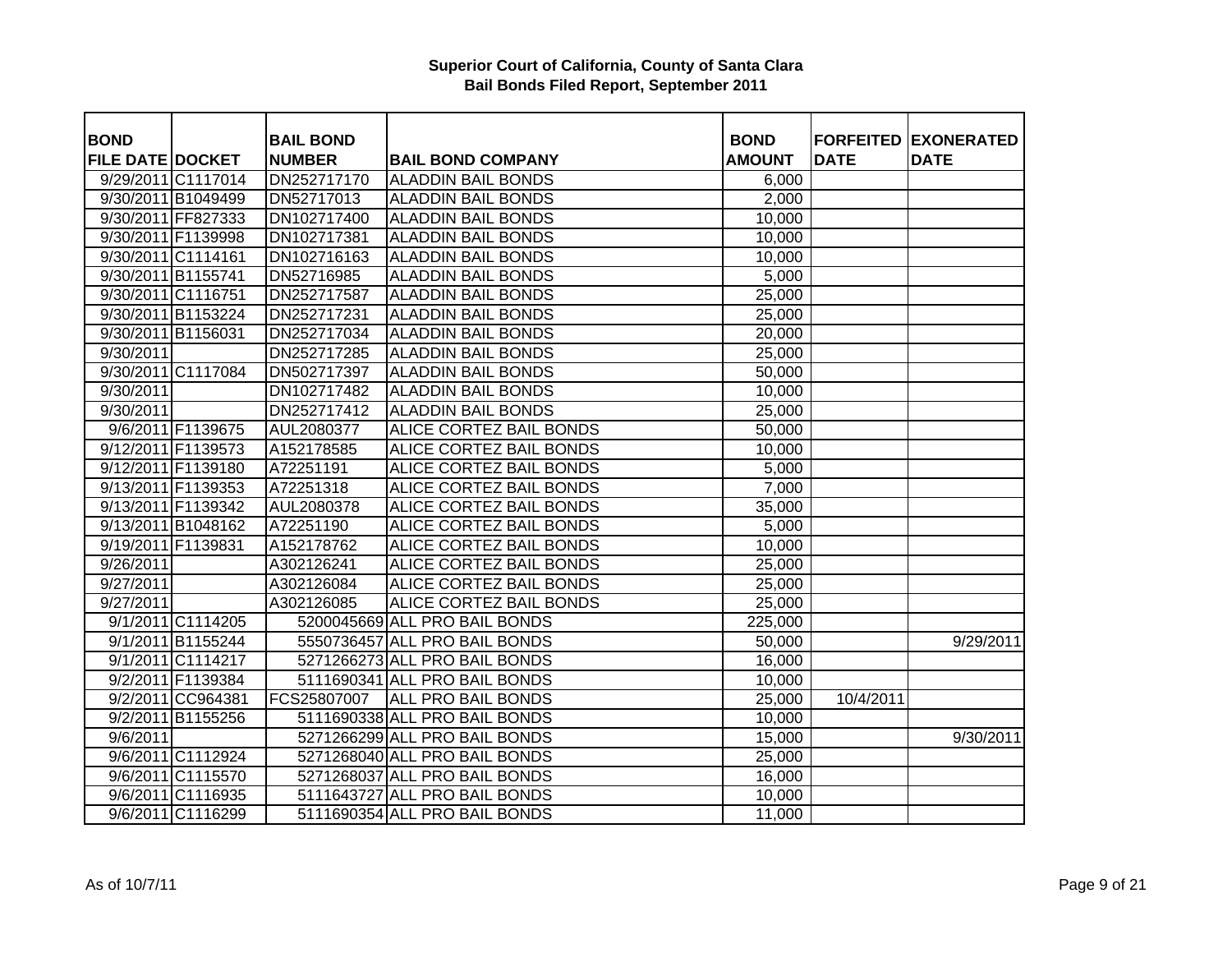| <b>BOND</b>             |                    | <b>BAIL BOND</b> |                                | <b>BOND</b>   |             | <b>FORFEITED EXONERATED</b> |
|-------------------------|--------------------|------------------|--------------------------------|---------------|-------------|-----------------------------|
| <b>FILE DATE DOCKET</b> |                    | <b>NUMBER</b>    | <b>BAIL BOND COMPANY</b>       | <b>AMOUNT</b> | <b>DATE</b> | <b>DATE</b>                 |
|                         | 9/29/2011 C1117014 | DN252717170      | <b>ALADDIN BAIL BONDS</b>      | 6,000         |             |                             |
|                         | 9/30/2011 B1049499 | DN52717013       | <b>ALADDIN BAIL BONDS</b>      | 2,000         |             |                             |
|                         | 9/30/2011 FF827333 | DN102717400      | <b>ALADDIN BAIL BONDS</b>      | 10,000        |             |                             |
|                         | 9/30/2011 F1139998 | DN102717381      | <b>ALADDIN BAIL BONDS</b>      | 10,000        |             |                             |
|                         | 9/30/2011 C1114161 | DN102716163      | <b>ALADDIN BAIL BONDS</b>      | 10,000        |             |                             |
|                         | 9/30/2011 B1155741 | DN52716985       | <b>ALADDIN BAIL BONDS</b>      | 5,000         |             |                             |
|                         | 9/30/2011 C1116751 | DN252717587      | <b>ALADDIN BAIL BONDS</b>      | 25,000        |             |                             |
|                         | 9/30/2011 B1153224 | DN252717231      | <b>ALADDIN BAIL BONDS</b>      | 25,000        |             |                             |
|                         | 9/30/2011 B1156031 | DN252717034      | <b>ALADDIN BAIL BONDS</b>      | 20,000        |             |                             |
| 9/30/2011               |                    | DN252717285      | <b>ALADDIN BAIL BONDS</b>      | 25,000        |             |                             |
|                         | 9/30/2011 C1117084 | DN502717397      | <b>ALADDIN BAIL BONDS</b>      | 50,000        |             |                             |
| 9/30/2011               |                    | DN102717482      | <b>ALADDIN BAIL BONDS</b>      | 10,000        |             |                             |
| 9/30/2011               |                    | DN252717412      | <b>ALADDIN BAIL BONDS</b>      | 25,000        |             |                             |
|                         | 9/6/2011 F1139675  | AUL2080377       | ALICE CORTEZ BAIL BONDS        | 50,000        |             |                             |
|                         | 9/12/2011 F1139573 | A152178585       | ALICE CORTEZ BAIL BONDS        | 10,000        |             |                             |
|                         | 9/12/2011 F1139180 | A72251191        | ALICE CORTEZ BAIL BONDS        | 5,000         |             |                             |
|                         | 9/13/2011 F1139353 | A72251318        | ALICE CORTEZ BAIL BONDS        | 7,000         |             |                             |
|                         | 9/13/2011 F1139342 | AUL2080378       | ALICE CORTEZ BAIL BONDS        | 35,000        |             |                             |
|                         | 9/13/2011 B1048162 | A72251190        | ALICE CORTEZ BAIL BONDS        | 5,000         |             |                             |
| 9/19/2011 F1139831      |                    | A152178762       | ALICE CORTEZ BAIL BONDS        | 10,000        |             |                             |
| 9/26/2011               |                    | A302126241       | <b>ALICE CORTEZ BAIL BONDS</b> | 25,000        |             |                             |
| 9/27/2011               |                    | A302126084       | ALICE CORTEZ BAIL BONDS        | 25,000        |             |                             |
| 9/27/2011               |                    | A302126085       | ALICE CORTEZ BAIL BONDS        | 25,000        |             |                             |
|                         | 9/1/2011 C1114205  |                  | 5200045669 ALL PRO BAIL BONDS  | 225,000       |             |                             |
|                         | 9/1/2011 B1155244  |                  | 5550736457 ALL PRO BAIL BONDS  | 50,000        |             | 9/29/2011                   |
|                         | 9/1/2011 C1114217  |                  | 5271266273 ALL PRO BAIL BONDS  | 16,000        |             |                             |
|                         | 9/2/2011 F1139384  |                  | 5111690341 ALL PRO BAIL BONDS  | 10,000        |             |                             |
|                         | 9/2/2011 CC964381  | FCS25807007      | <b>ALL PRO BAIL BONDS</b>      | 25,000        | 10/4/2011   |                             |
|                         | 9/2/2011 B1155256  |                  | 5111690338 ALL PRO BAIL BONDS  | 10,000        |             |                             |
| 9/6/2011                |                    |                  | 5271266299 ALL PRO BAIL BONDS  | 15,000        |             | 9/30/2011                   |
|                         | 9/6/2011 C1112924  |                  | 5271268040 ALL PRO BAIL BONDS  | 25,000        |             |                             |
|                         | 9/6/2011 C1115570  |                  | 5271268037 ALL PRO BAIL BONDS  | 16,000        |             |                             |
|                         | 9/6/2011 C1116935  |                  | 5111643727 ALL PRO BAIL BONDS  | 10,000        |             |                             |
|                         | 9/6/2011 C1116299  |                  | 5111690354 ALL PRO BAIL BONDS  | 11,000        |             |                             |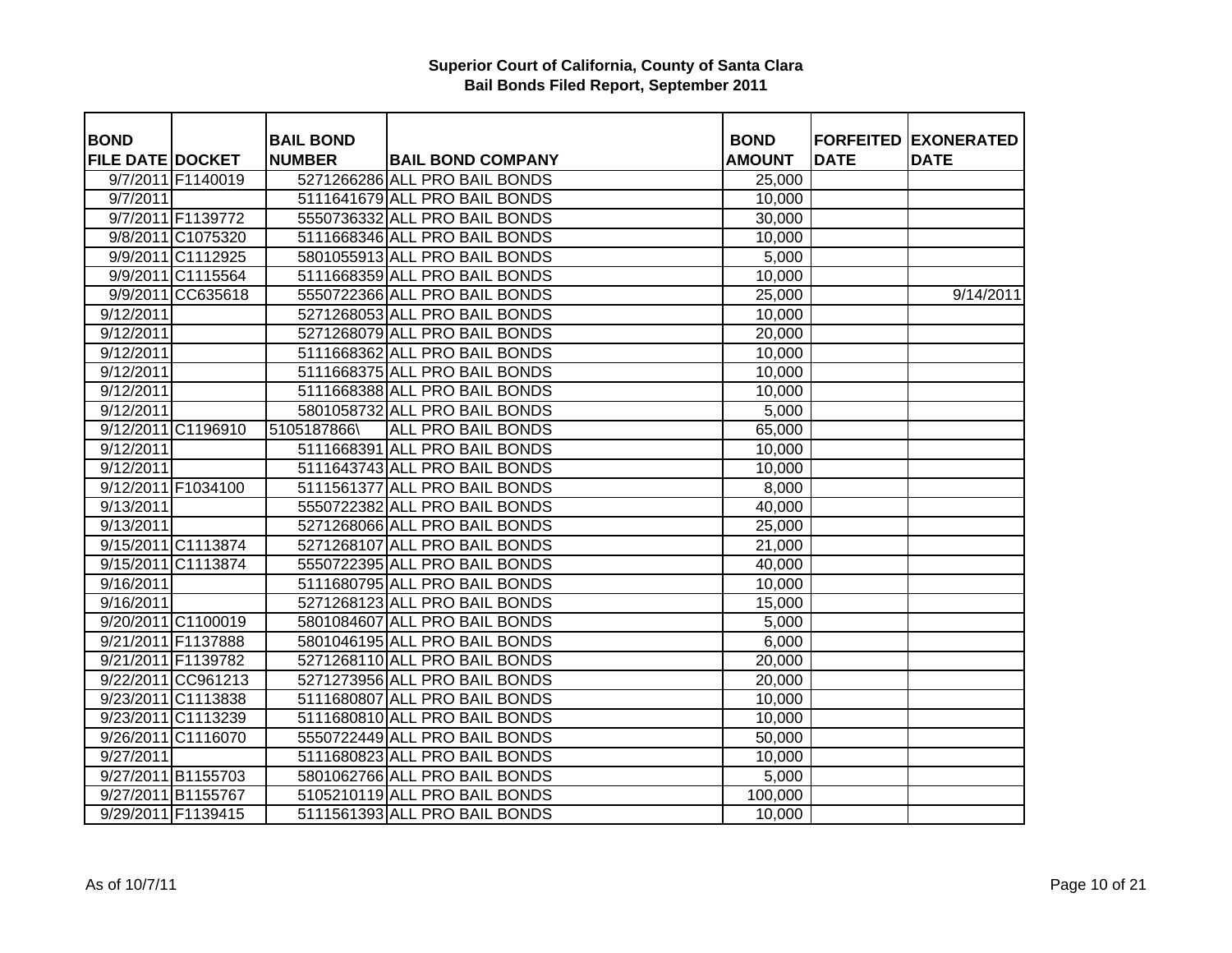| <b>BOND</b>             |                    | <b>BAIL BOND</b> |                               | <b>BOND</b>   |             | <b>FORFEITED EXONERATED</b> |
|-------------------------|--------------------|------------------|-------------------------------|---------------|-------------|-----------------------------|
| <b>FILE DATE DOCKET</b> |                    | <b>NUMBER</b>    | <b>BAIL BOND COMPANY</b>      | <b>AMOUNT</b> | <b>DATE</b> | <b>DATE</b>                 |
|                         | 9/7/2011 F1140019  |                  | 5271266286 ALL PRO BAIL BONDS | 25,000        |             |                             |
| 9/7/2011                |                    |                  | 5111641679 ALL PRO BAIL BONDS | 10,000        |             |                             |
|                         | 9/7/2011 F1139772  |                  | 5550736332 ALL PRO BAIL BONDS | 30,000        |             |                             |
|                         | 9/8/2011 C1075320  |                  | 5111668346 ALL PRO BAIL BONDS | 10,000        |             |                             |
|                         | 9/9/2011 C1112925  |                  | 5801055913 ALL PRO BAIL BONDS | 5,000         |             |                             |
|                         | 9/9/2011 C1115564  |                  | 5111668359 ALL PRO BAIL BONDS | 10,000        |             |                             |
|                         | 9/9/2011 CC635618  |                  | 5550722366 ALL PRO BAIL BONDS | 25,000        |             | 9/14/2011                   |
| 9/12/2011               |                    |                  | 5271268053 ALL PRO BAIL BONDS | 10,000        |             |                             |
| 9/12/2011               |                    |                  | 5271268079 ALL PRO BAIL BONDS | 20,000        |             |                             |
| 9/12/2011               |                    |                  | 5111668362 ALL PRO BAIL BONDS | 10,000        |             |                             |
| 9/12/2011               |                    |                  | 5111668375 ALL PRO BAIL BONDS | 10,000        |             |                             |
| 9/12/2011               |                    |                  | 5111668388 ALL PRO BAIL BONDS | 10,000        |             |                             |
| 9/12/2011               |                    |                  | 5801058732 ALL PRO BAIL BONDS | 5,000         |             |                             |
|                         | 9/12/2011 C1196910 | 5105187866\      | ALL PRO BAIL BONDS            | 65,000        |             |                             |
| 9/12/2011               |                    |                  | 5111668391 ALL PRO BAIL BONDS | 10,000        |             |                             |
| 9/12/2011               |                    |                  | 5111643743 ALL PRO BAIL BONDS | 10,000        |             |                             |
|                         | 9/12/2011 F1034100 |                  | 5111561377 ALL PRO BAIL BONDS | 8,000         |             |                             |
| 9/13/2011               |                    |                  | 5550722382 ALL PRO BAIL BONDS | 40,000        |             |                             |
| 9/13/2011               |                    |                  | 5271268066 ALL PRO BAIL BONDS | 25,000        |             |                             |
|                         | 9/15/2011 C1113874 |                  | 5271268107 ALL PRO BAIL BONDS | 21,000        |             |                             |
|                         | 9/15/2011 C1113874 |                  | 5550722395 ALL PRO BAIL BONDS | 40,000        |             |                             |
| 9/16/2011               |                    |                  | 5111680795 ALL PRO BAIL BONDS | 10,000        |             |                             |
| 9/16/2011               |                    |                  | 5271268123 ALL PRO BAIL BONDS | 15,000        |             |                             |
|                         | 9/20/2011 C1100019 |                  | 5801084607 ALL PRO BAIL BONDS | 5,000         |             |                             |
|                         | 9/21/2011 F1137888 |                  | 5801046195 ALL PRO BAIL BONDS | 6,000         |             |                             |
|                         | 9/21/2011 F1139782 |                  | 5271268110 ALL PRO BAIL BONDS | 20,000        |             |                             |
|                         | 9/22/2011 CC961213 |                  | 5271273956 ALL PRO BAIL BONDS | 20,000        |             |                             |
|                         | 9/23/2011 C1113838 |                  | 5111680807 ALL PRO BAIL BONDS | 10,000        |             |                             |
|                         | 9/23/2011 C1113239 |                  | 5111680810 ALL PRO BAIL BONDS | 10,000        |             |                             |
|                         | 9/26/2011 C1116070 |                  | 5550722449 ALL PRO BAIL BONDS | 50,000        |             |                             |
| 9/27/2011               |                    |                  | 5111680823 ALL PRO BAIL BONDS | 10,000        |             |                             |
|                         | 9/27/2011 B1155703 |                  | 5801062766 ALL PRO BAIL BONDS | 5,000         |             |                             |
|                         | 9/27/2011 B1155767 |                  | 5105210119 ALL PRO BAIL BONDS | 100,000       |             |                             |
|                         | 9/29/2011 F1139415 |                  | 5111561393 ALL PRO BAIL BONDS | 10,000        |             |                             |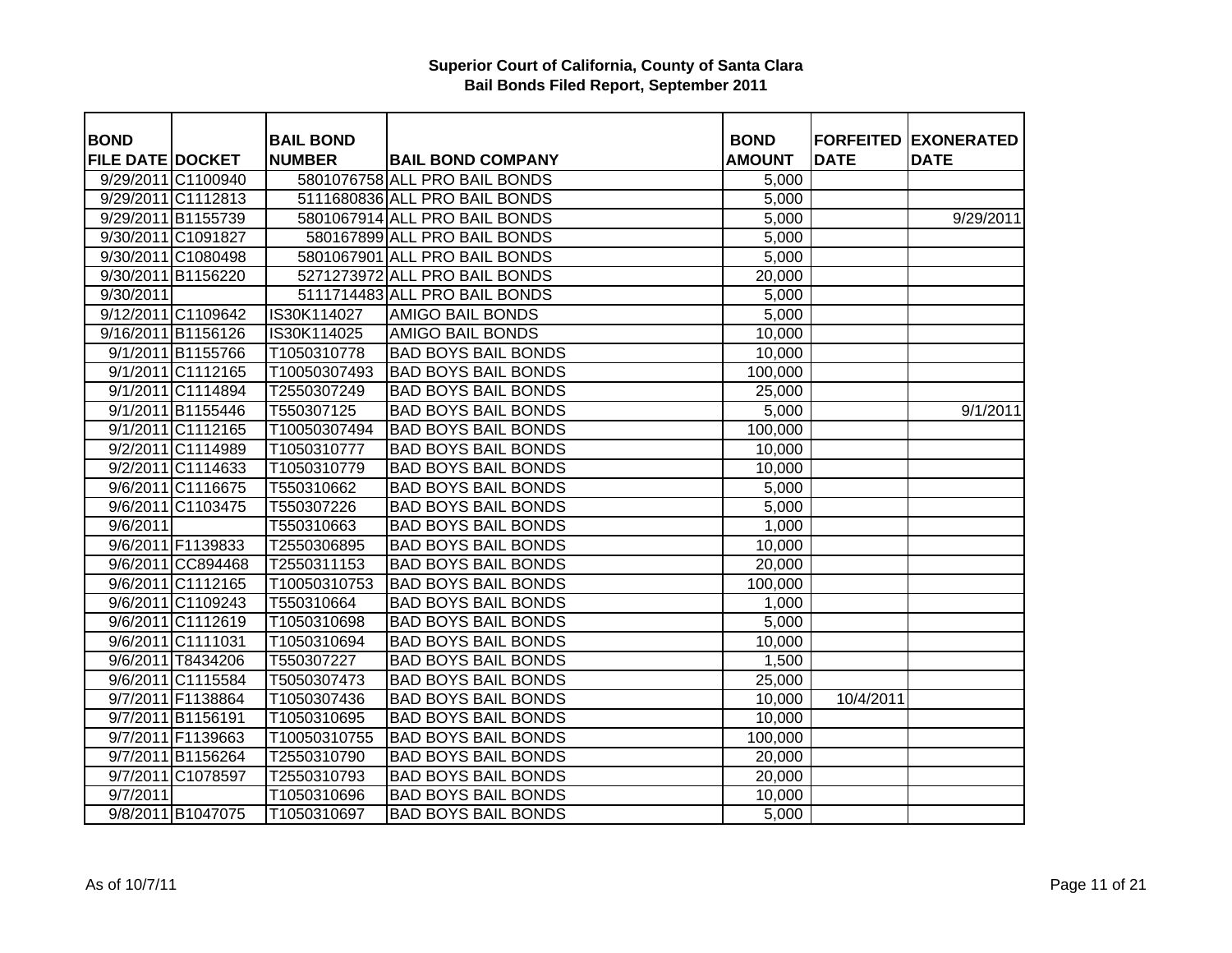| <b>BOND</b>             |                    | <b>BAIL BOND</b> |                               | <b>BOND</b>   |             | <b>FORFEITED EXONERATED</b> |
|-------------------------|--------------------|------------------|-------------------------------|---------------|-------------|-----------------------------|
| <b>FILE DATE DOCKET</b> |                    | <b>NUMBER</b>    | <b>BAIL BOND COMPANY</b>      | <b>AMOUNT</b> | <b>DATE</b> | <b>DATE</b>                 |
|                         | 9/29/2011 C1100940 |                  | 5801076758 ALL PRO BAIL BONDS | 5,000         |             |                             |
|                         | 9/29/2011 C1112813 |                  | 5111680836 ALL PRO BAIL BONDS | 5,000         |             |                             |
|                         | 9/29/2011 B1155739 |                  | 5801067914 ALL PRO BAIL BONDS | 5,000         |             | 9/29/2011                   |
|                         | 9/30/2011 C1091827 |                  | 580167899 ALL PRO BAIL BONDS  | 5,000         |             |                             |
|                         | 9/30/2011 C1080498 |                  | 5801067901 ALL PRO BAIL BONDS | 5,000         |             |                             |
|                         | 9/30/2011 B1156220 |                  | 5271273972 ALL PRO BAIL BONDS | 20,000        |             |                             |
| 9/30/2011               |                    |                  | 5111714483 ALL PRO BAIL BONDS | 5,000         |             |                             |
|                         | 9/12/2011 C1109642 | IS30K114027      | <b>AMIGO BAIL BONDS</b>       | 5,000         |             |                             |
|                         | 9/16/2011 B1156126 | IS30K114025      | <b>AMIGO BAIL BONDS</b>       | 10,000        |             |                             |
|                         | 9/1/2011 B1155766  | T1050310778      | <b>BAD BOYS BAIL BONDS</b>    | 10,000        |             |                             |
|                         | 9/1/2011 C1112165  | T10050307493     | <b>BAD BOYS BAIL BONDS</b>    | 100,000       |             |                             |
|                         | 9/1/2011 C1114894  | T2550307249      | <b>BAD BOYS BAIL BONDS</b>    | 25,000        |             |                             |
|                         | 9/1/2011 B1155446  | T550307125       | <b>BAD BOYS BAIL BONDS</b>    | 5,000         |             | 9/1/2011                    |
|                         | 9/1/2011 C1112165  | T10050307494     | <b>BAD BOYS BAIL BONDS</b>    | 100,000       |             |                             |
|                         | 9/2/2011 C1114989  | T1050310777      | <b>BAD BOYS BAIL BONDS</b>    | 10,000        |             |                             |
|                         | 9/2/2011 C1114633  | T1050310779      | <b>BAD BOYS BAIL BONDS</b>    | 10,000        |             |                             |
|                         | 9/6/2011 C1116675  | T550310662       | <b>BAD BOYS BAIL BONDS</b>    | 5,000         |             |                             |
|                         | 9/6/2011 C1103475  | T550307226       | <b>BAD BOYS BAIL BONDS</b>    | 5,000         |             |                             |
| 9/6/2011                |                    | T550310663       | <b>BAD BOYS BAIL BONDS</b>    | 1,000         |             |                             |
|                         | 9/6/2011 F1139833  | T2550306895      | <b>BAD BOYS BAIL BONDS</b>    | 10,000        |             |                             |
|                         | 9/6/2011 CC894468  | T2550311153      | <b>BAD BOYS BAIL BONDS</b>    | 20,000        |             |                             |
|                         | 9/6/2011 C1112165  | T10050310753     | <b>BAD BOYS BAIL BONDS</b>    | 100,000       |             |                             |
|                         | 9/6/2011 C1109243  | T550310664       | <b>BAD BOYS BAIL BONDS</b>    | 1,000         |             |                             |
|                         | 9/6/2011 C1112619  | T1050310698      | <b>BAD BOYS BAIL BONDS</b>    | 5,000         |             |                             |
|                         | 9/6/2011 C1111031  | T1050310694      | <b>BAD BOYS BAIL BONDS</b>    | 10,000        |             |                             |
|                         | 9/6/2011 T8434206  | T550307227       | <b>BAD BOYS BAIL BONDS</b>    | 1,500         |             |                             |
|                         | 9/6/2011 C1115584  | T5050307473      | <b>BAD BOYS BAIL BONDS</b>    | 25,000        |             |                             |
|                         | 9/7/2011 F1138864  | T1050307436      | <b>BAD BOYS BAIL BONDS</b>    | 10,000        | 10/4/2011   |                             |
|                         | 9/7/2011 B1156191  | T1050310695      | <b>BAD BOYS BAIL BONDS</b>    | 10,000        |             |                             |
|                         | 9/7/2011 F1139663  | T10050310755     | <b>BAD BOYS BAIL BONDS</b>    | 100,000       |             |                             |
|                         | 9/7/2011 B1156264  | T2550310790      | <b>BAD BOYS BAIL BONDS</b>    | 20,000        |             |                             |
|                         | 9/7/2011 C1078597  | T2550310793      | <b>BAD BOYS BAIL BONDS</b>    | 20,000        |             |                             |
| 9/7/2011                |                    | T1050310696      | <b>BAD BOYS BAIL BONDS</b>    | 10,000        |             |                             |
|                         | 9/8/2011 B1047075  | T1050310697      | <b>BAD BOYS BAIL BONDS</b>    | 5,000         |             |                             |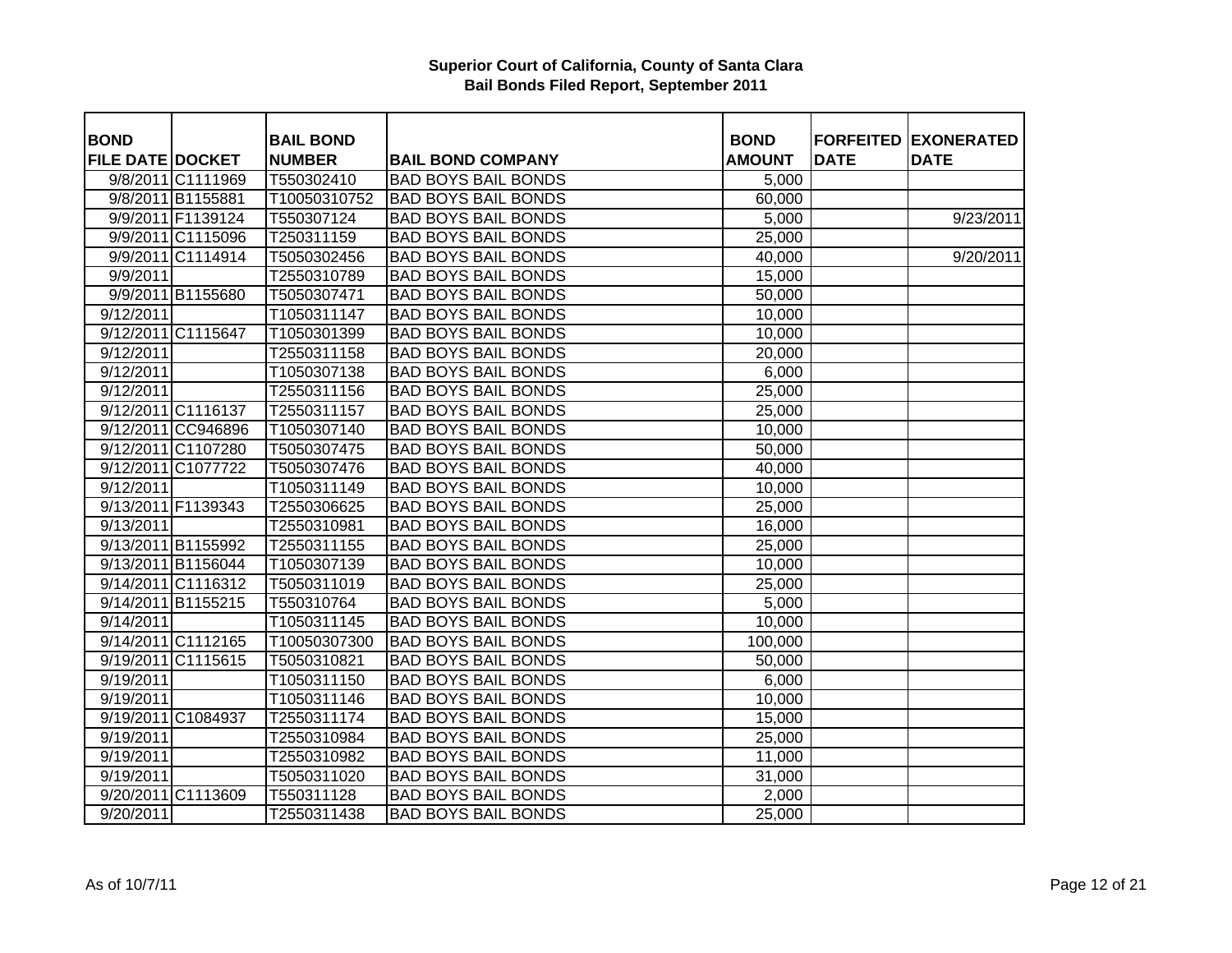| <b>BOND</b>             |                    | <b>BAIL BOND</b> |                            | <b>BOND</b>   |             | <b>FORFEITED EXONERATED</b> |
|-------------------------|--------------------|------------------|----------------------------|---------------|-------------|-----------------------------|
| <b>FILE DATE DOCKET</b> |                    | <b>NUMBER</b>    | <b>BAIL BOND COMPANY</b>   | <b>AMOUNT</b> | <b>DATE</b> | <b>DATE</b>                 |
|                         | 9/8/2011 C1111969  | T550302410       | <b>BAD BOYS BAIL BONDS</b> | 5,000         |             |                             |
|                         | 9/8/2011 B1155881  | T10050310752     | <b>BAD BOYS BAIL BONDS</b> | 60,000        |             |                             |
|                         | 9/9/2011 F1139124  | T550307124       | <b>BAD BOYS BAIL BONDS</b> | 5,000         |             | 9/23/2011                   |
|                         | 9/9/2011 C1115096  | T250311159       | <b>BAD BOYS BAIL BONDS</b> | 25,000        |             |                             |
|                         | 9/9/2011 C1114914  | T5050302456      | <b>BAD BOYS BAIL BONDS</b> | 40,000        |             | 9/20/2011                   |
| 9/9/2011                |                    | T2550310789      | <b>BAD BOYS BAIL BONDS</b> | 15,000        |             |                             |
|                         | 9/9/2011 B1155680  | T5050307471      | <b>BAD BOYS BAIL BONDS</b> | 50,000        |             |                             |
| 9/12/2011               |                    | T1050311147      | <b>BAD BOYS BAIL BONDS</b> | 10,000        |             |                             |
|                         | 9/12/2011 C1115647 | T1050301399      | <b>BAD BOYS BAIL BONDS</b> | 10,000        |             |                             |
| 9/12/2011               |                    | T2550311158      | <b>BAD BOYS BAIL BONDS</b> | 20,000        |             |                             |
| 9/12/2011               |                    | T1050307138      | <b>BAD BOYS BAIL BONDS</b> | 6,000         |             |                             |
| 9/12/2011               |                    | T2550311156      | <b>BAD BOYS BAIL BONDS</b> | 25,000        |             |                             |
|                         | 9/12/2011 C1116137 | T2550311157      | <b>BAD BOYS BAIL BONDS</b> | 25,000        |             |                             |
|                         | 9/12/2011 CC946896 | T1050307140      | <b>BAD BOYS BAIL BONDS</b> | 10,000        |             |                             |
|                         | 9/12/2011 C1107280 | T5050307475      | <b>BAD BOYS BAIL BONDS</b> | 50,000        |             |                             |
|                         | 9/12/2011 C1077722 | T5050307476      | <b>BAD BOYS BAIL BONDS</b> | 40,000        |             |                             |
| 9/12/2011               |                    | T1050311149      | <b>BAD BOYS BAIL BONDS</b> | 10,000        |             |                             |
|                         | 9/13/2011 F1139343 | T2550306625      | <b>BAD BOYS BAIL BONDS</b> | 25,000        |             |                             |
| 9/13/2011               |                    | T2550310981      | <b>BAD BOYS BAIL BONDS</b> | 16,000        |             |                             |
|                         | 9/13/2011 B1155992 | T2550311155      | <b>BAD BOYS BAIL BONDS</b> | 25,000        |             |                             |
|                         | 9/13/2011 B1156044 | T1050307139      | <b>BAD BOYS BAIL BONDS</b> | 10,000        |             |                             |
|                         | 9/14/2011 C1116312 | T5050311019      | <b>BAD BOYS BAIL BONDS</b> | 25,000        |             |                             |
|                         | 9/14/2011 B1155215 | T550310764       | <b>BAD BOYS BAIL BONDS</b> | 5,000         |             |                             |
| 9/14/2011               |                    | T1050311145      | <b>BAD BOYS BAIL BONDS</b> | 10,000        |             |                             |
|                         | 9/14/2011 C1112165 | T10050307300     | <b>BAD BOYS BAIL BONDS</b> | 100,000       |             |                             |
|                         | 9/19/2011 C1115615 | T5050310821      | <b>BAD BOYS BAIL BONDS</b> | 50,000        |             |                             |
| 9/19/2011               |                    | T1050311150      | <b>BAD BOYS BAIL BONDS</b> | 6,000         |             |                             |
| 9/19/2011               |                    | T1050311146      | <b>BAD BOYS BAIL BONDS</b> | 10,000        |             |                             |
|                         | 9/19/2011 C1084937 | T2550311174      | <b>BAD BOYS BAIL BONDS</b> | 15,000        |             |                             |
| 9/19/2011               |                    | T2550310984      | <b>BAD BOYS BAIL BONDS</b> | 25,000        |             |                             |
| 9/19/2011               |                    | T2550310982      | <b>BAD BOYS BAIL BONDS</b> | 11,000        |             |                             |
| 9/19/2011               |                    | T5050311020      | <b>BAD BOYS BAIL BONDS</b> | 31,000        |             |                             |
|                         | 9/20/2011 C1113609 | T550311128       | <b>BAD BOYS BAIL BONDS</b> | 2,000         |             |                             |
| 9/20/2011               |                    | T2550311438      | <b>BAD BOYS BAIL BONDS</b> | 25,000        |             |                             |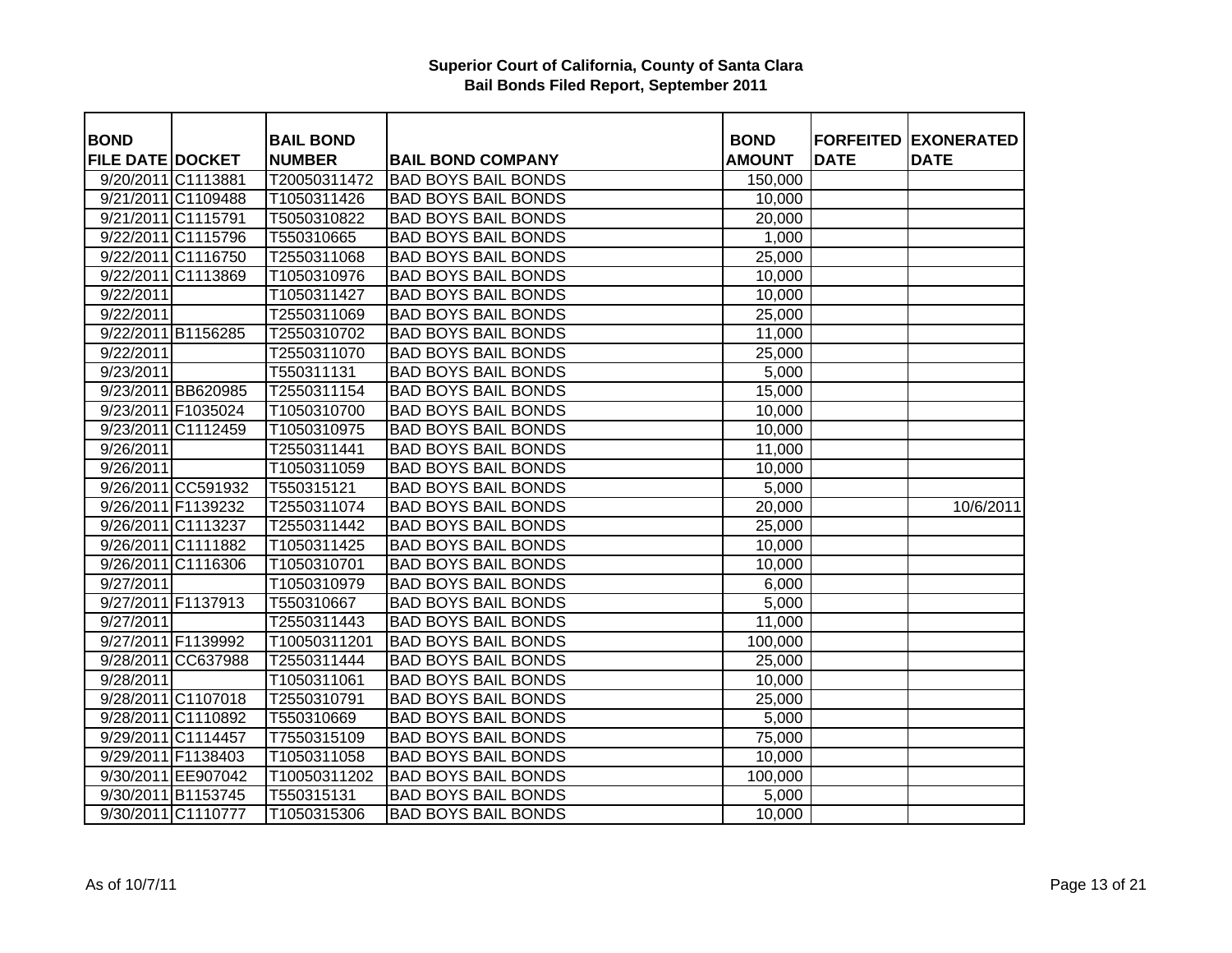| <b>BOND</b>             |                    | <b>BAIL BOND</b> |                            | <b>BOND</b>   |             | <b>FORFEITED EXONERATED</b> |
|-------------------------|--------------------|------------------|----------------------------|---------------|-------------|-----------------------------|
| <b>FILE DATE DOCKET</b> |                    | <b>NUMBER</b>    | <b>BAIL BOND COMPANY</b>   | <b>AMOUNT</b> | <b>DATE</b> | <b>DATE</b>                 |
| 9/20/2011 C1113881      |                    | T20050311472     | <b>BAD BOYS BAIL BONDS</b> | 150,000       |             |                             |
|                         | 9/21/2011 C1109488 | T1050311426      | <b>BAD BOYS BAIL BONDS</b> | 10,000        |             |                             |
|                         | 9/21/2011 C1115791 | T5050310822      | <b>BAD BOYS BAIL BONDS</b> | 20,000        |             |                             |
|                         | 9/22/2011 C1115796 | T550310665       | <b>BAD BOYS BAIL BONDS</b> | 1,000         |             |                             |
|                         | 9/22/2011 C1116750 | T2550311068      | <b>BAD BOYS BAIL BONDS</b> | 25,000        |             |                             |
|                         | 9/22/2011 C1113869 | T1050310976      | <b>BAD BOYS BAIL BONDS</b> | 10,000        |             |                             |
| 9/22/2011               |                    | T1050311427      | <b>BAD BOYS BAIL BONDS</b> | 10,000        |             |                             |
| 9/22/2011               |                    | T2550311069      | <b>BAD BOYS BAIL BONDS</b> | 25,000        |             |                             |
|                         | 9/22/2011 B1156285 | T2550310702      | <b>BAD BOYS BAIL BONDS</b> | 11,000        |             |                             |
| 9/22/2011               |                    | T2550311070      | <b>BAD BOYS BAIL BONDS</b> | 25,000        |             |                             |
| 9/23/2011               |                    | T550311131       | <b>BAD BOYS BAIL BONDS</b> | 5,000         |             |                             |
|                         | 9/23/2011 BB620985 | T2550311154      | <b>BAD BOYS BAIL BONDS</b> | 15,000        |             |                             |
|                         | 9/23/2011 F1035024 | T1050310700      | <b>BAD BOYS BAIL BONDS</b> | 10,000        |             |                             |
|                         | 9/23/2011 C1112459 | T1050310975      | <b>BAD BOYS BAIL BONDS</b> | 10,000        |             |                             |
| 9/26/2011               |                    | T2550311441      | <b>BAD BOYS BAIL BONDS</b> | 11,000        |             |                             |
| 9/26/2011               |                    | T1050311059      | <b>BAD BOYS BAIL BONDS</b> | 10,000        |             |                             |
|                         | 9/26/2011 CC591932 | T550315121       | <b>BAD BOYS BAIL BONDS</b> | 5,000         |             |                             |
|                         | 9/26/2011 F1139232 | T2550311074      | <b>BAD BOYS BAIL BONDS</b> | 20,000        |             | 10/6/2011                   |
|                         | 9/26/2011 C1113237 | T2550311442      | <b>BAD BOYS BAIL BONDS</b> | 25,000        |             |                             |
|                         | 9/26/2011 C1111882 | T1050311425      | <b>BAD BOYS BAIL BONDS</b> | 10,000        |             |                             |
|                         | 9/26/2011 C1116306 | T1050310701      | <b>BAD BOYS BAIL BONDS</b> | 10,000        |             |                             |
| 9/27/2011               |                    | T1050310979      | <b>BAD BOYS BAIL BONDS</b> | 6,000         |             |                             |
|                         | 9/27/2011 F1137913 | T550310667       | <b>BAD BOYS BAIL BONDS</b> | 5,000         |             |                             |
| 9/27/2011               |                    | T2550311443      | <b>BAD BOYS BAIL BONDS</b> | 11,000        |             |                             |
|                         | 9/27/2011 F1139992 | T10050311201     | <b>BAD BOYS BAIL BONDS</b> | 100,000       |             |                             |
|                         | 9/28/2011 CC637988 | T2550311444      | <b>BAD BOYS BAIL BONDS</b> | 25,000        |             |                             |
| 9/28/2011               |                    | T1050311061      | <b>BAD BOYS BAIL BONDS</b> | 10,000        |             |                             |
|                         | 9/28/2011 C1107018 | T2550310791      | <b>BAD BOYS BAIL BONDS</b> | 25,000        |             |                             |
|                         | 9/28/2011 C1110892 | T550310669       | <b>BAD BOYS BAIL BONDS</b> | 5,000         |             |                             |
|                         | 9/29/2011 C1114457 | T7550315109      | <b>BAD BOYS BAIL BONDS</b> | 75,000        |             |                             |
|                         | 9/29/2011 F1138403 | T1050311058      | <b>BAD BOYS BAIL BONDS</b> | 10,000        |             |                             |
|                         | 9/30/2011 EE907042 | T10050311202     | <b>BAD BOYS BAIL BONDS</b> | 100,000       |             |                             |
|                         | 9/30/2011 B1153745 | T550315131       | <b>BAD BOYS BAIL BONDS</b> | 5,000         |             |                             |
|                         | 9/30/2011 C1110777 | T1050315306      | <b>BAD BOYS BAIL BONDS</b> | 10,000        |             |                             |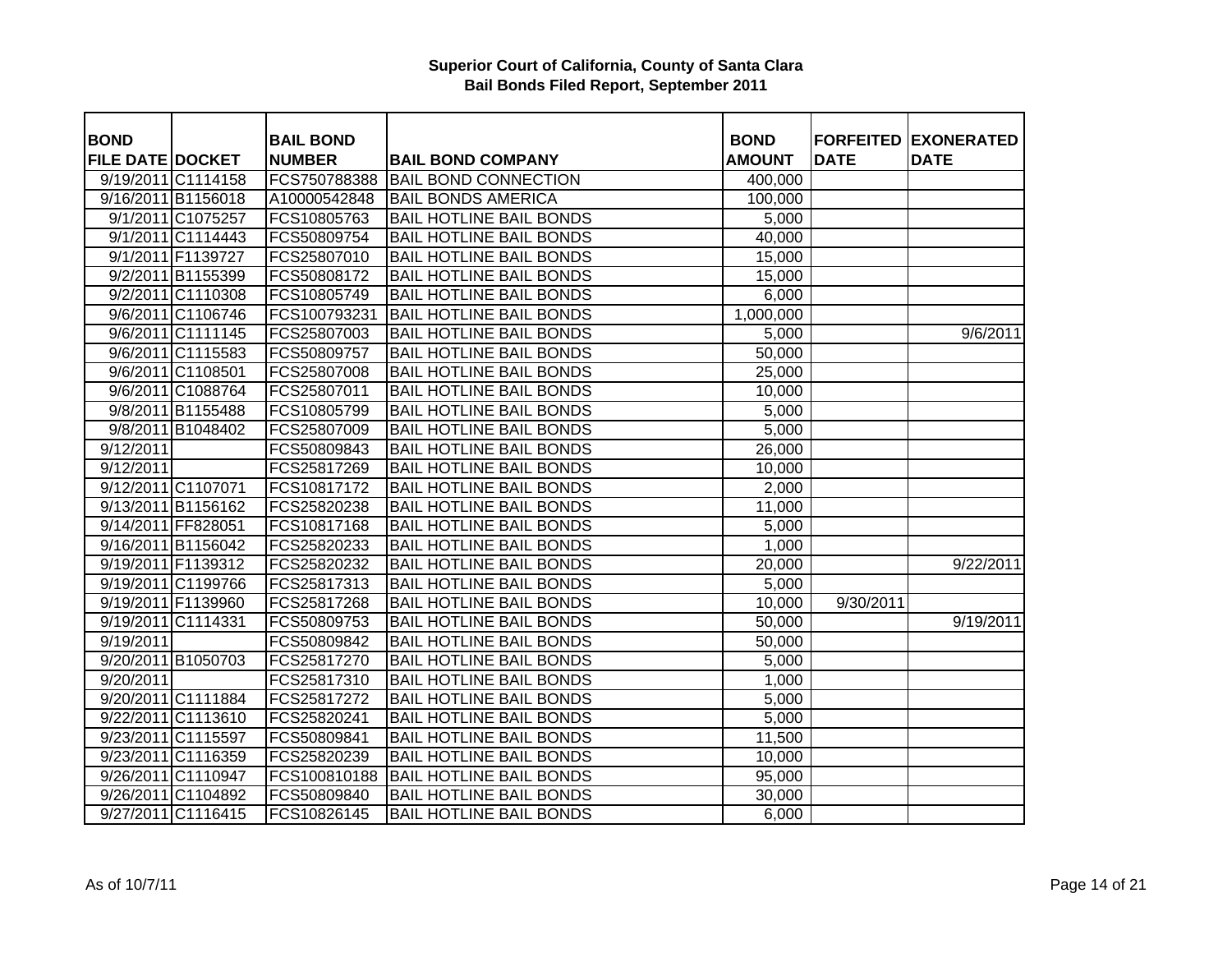| <b>BOND</b>             |                    | <b>BAIL BOND</b> |                                | <b>BOND</b>   |             | <b>FORFEITED EXONERATED</b> |
|-------------------------|--------------------|------------------|--------------------------------|---------------|-------------|-----------------------------|
| <b>FILE DATE DOCKET</b> |                    | <b>NUMBER</b>    | <b>BAIL BOND COMPANY</b>       | <b>AMOUNT</b> | <b>DATE</b> | <b>DATE</b>                 |
|                         | 9/19/2011 C1114158 | FCS750788388     | <b>BAIL BOND CONNECTION</b>    | 400,000       |             |                             |
|                         | 9/16/2011 B1156018 | A10000542848     | <b>BAIL BONDS AMERICA</b>      | 100,000       |             |                             |
|                         | 9/1/2011 C1075257  | FCS10805763      | <b>BAIL HOTLINE BAIL BONDS</b> | 5,000         |             |                             |
|                         | 9/1/2011 C1114443  | FCS50809754      | <b>BAIL HOTLINE BAIL BONDS</b> | 40,000        |             |                             |
|                         | 9/1/2011 F1139727  | FCS25807010      | <b>BAIL HOTLINE BAIL BONDS</b> | 15,000        |             |                             |
|                         | 9/2/2011 B1155399  | FCS50808172      | <b>BAIL HOTLINE BAIL BONDS</b> | 15,000        |             |                             |
|                         | 9/2/2011 C1110308  | FCS10805749      | <b>BAIL HOTLINE BAIL BONDS</b> | 6,000         |             |                             |
|                         | 9/6/2011 C1106746  | FCS100793231     | <b>BAIL HOTLINE BAIL BONDS</b> | 1,000,000     |             |                             |
|                         | 9/6/2011 C1111145  | FCS25807003      | <b>BAIL HOTLINE BAIL BONDS</b> | 5,000         |             | 9/6/2011                    |
|                         | 9/6/2011 C1115583  | FCS50809757      | <b>BAIL HOTLINE BAIL BONDS</b> | 50,000        |             |                             |
|                         | 9/6/2011 C1108501  | FCS25807008      | <b>BAIL HOTLINE BAIL BONDS</b> | 25,000        |             |                             |
|                         | 9/6/2011 C1088764  | FCS25807011      | <b>BAIL HOTLINE BAIL BONDS</b> | 10,000        |             |                             |
|                         | 9/8/2011 B1155488  | FCS10805799      | <b>BAIL HOTLINE BAIL BONDS</b> | 5,000         |             |                             |
|                         | 9/8/2011 B1048402  | FCS25807009      | <b>BAIL HOTLINE BAIL BONDS</b> | 5,000         |             |                             |
| 9/12/2011               |                    | FCS50809843      | <b>BAIL HOTLINE BAIL BONDS</b> | 26,000        |             |                             |
| 9/12/2011               |                    | FCS25817269      | <b>BAIL HOTLINE BAIL BONDS</b> | 10,000        |             |                             |
| 9/12/2011 C1107071      |                    | FCS10817172      | <b>BAIL HOTLINE BAIL BONDS</b> | 2,000         |             |                             |
|                         | 9/13/2011 B1156162 | FCS25820238      | <b>BAIL HOTLINE BAIL BONDS</b> | 11,000        |             |                             |
| 9/14/2011 FF828051      |                    | FCS10817168      | <b>BAIL HOTLINE BAIL BONDS</b> | 5,000         |             |                             |
|                         | 9/16/2011 B1156042 | FCS25820233      | <b>BAIL HOTLINE BAIL BONDS</b> | 1,000         |             |                             |
|                         | 9/19/2011 F1139312 | FCS25820232      | <b>BAIL HOTLINE BAIL BONDS</b> | 20,000        |             | 9/22/2011                   |
|                         | 9/19/2011 C1199766 | FCS25817313      | <b>BAIL HOTLINE BAIL BONDS</b> | 5,000         |             |                             |
|                         | 9/19/2011 F1139960 | FCS25817268      | <b>BAIL HOTLINE BAIL BONDS</b> | 10,000        | 9/30/2011   |                             |
|                         | 9/19/2011 C1114331 | FCS50809753      | <b>BAIL HOTLINE BAIL BONDS</b> | 50,000        |             | 9/19/2011                   |
| 9/19/2011               |                    | FCS50809842      | <b>BAIL HOTLINE BAIL BONDS</b> | 50,000        |             |                             |
|                         | 9/20/2011 B1050703 | FCS25817270      | <b>BAIL HOTLINE BAIL BONDS</b> | 5,000         |             |                             |
| 9/20/2011               |                    | FCS25817310      | <b>BAIL HOTLINE BAIL BONDS</b> | 1,000         |             |                             |
|                         | 9/20/2011 C1111884 | FCS25817272      | <b>BAIL HOTLINE BAIL BONDS</b> | 5,000         |             |                             |
|                         | 9/22/2011 C1113610 | FCS25820241      | <b>BAIL HOTLINE BAIL BONDS</b> | 5,000         |             |                             |
|                         | 9/23/2011 C1115597 | FCS50809841      | <b>BAIL HOTLINE BAIL BONDS</b> | 11,500        |             |                             |
|                         | 9/23/2011 C1116359 | FCS25820239      | <b>BAIL HOTLINE BAIL BONDS</b> | 10,000        |             |                             |
|                         | 9/26/2011 C1110947 | FCS100810188     | <b>BAIL HOTLINE BAIL BONDS</b> | 95,000        |             |                             |
|                         | 9/26/2011 C1104892 | FCS50809840      | <b>BAIL HOTLINE BAIL BONDS</b> | 30,000        |             |                             |
|                         | 9/27/2011 C1116415 | FCS10826145      | <b>BAIL HOTLINE BAIL BONDS</b> | 6,000         |             |                             |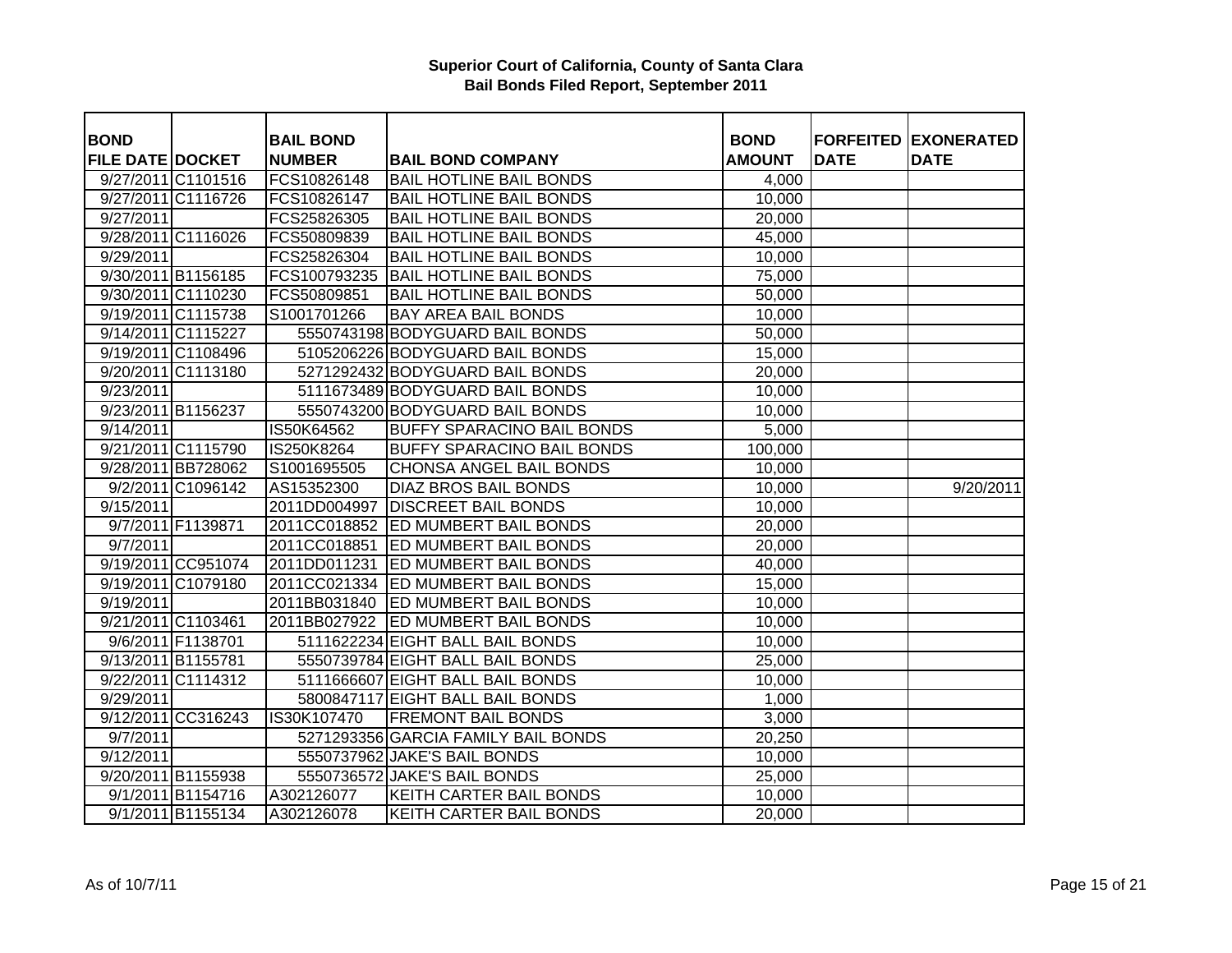| <b>BOND</b>             |                    | <b>BAIL BOND</b> |                                     | <b>BOND</b>   |             | <b>FORFEITED EXONERATED</b> |
|-------------------------|--------------------|------------------|-------------------------------------|---------------|-------------|-----------------------------|
| <b>FILE DATE DOCKET</b> |                    | <b>NUMBER</b>    | <b>BAIL BOND COMPANY</b>            | <b>AMOUNT</b> | <b>DATE</b> | <b>DATE</b>                 |
|                         | 9/27/2011 C1101516 | FCS10826148      | <b>BAIL HOTLINE BAIL BONDS</b>      | 4,000         |             |                             |
|                         | 9/27/2011 C1116726 | FCS10826147      | <b>BAIL HOTLINE BAIL BONDS</b>      | 10,000        |             |                             |
| 9/27/2011               |                    | FCS25826305      | <b>BAIL HOTLINE BAIL BONDS</b>      | 20,000        |             |                             |
|                         | 9/28/2011 C1116026 | FCS50809839      | <b>BAIL HOTLINE BAIL BONDS</b>      | 45,000        |             |                             |
| 9/29/2011               |                    | FCS25826304      | <b>BAIL HOTLINE BAIL BONDS</b>      | 10,000        |             |                             |
|                         | 9/30/2011 B1156185 | FCS100793235     | <b>BAIL HOTLINE BAIL BONDS</b>      | 75,000        |             |                             |
|                         | 9/30/2011 C1110230 | FCS50809851      | <b>BAIL HOTLINE BAIL BONDS</b>      | 50,000        |             |                             |
|                         | 9/19/2011 C1115738 | S1001701266      | <b>BAY AREA BAIL BONDS</b>          | 10,000        |             |                             |
|                         | 9/14/2011 C1115227 |                  | 5550743198 BODYGUARD BAIL BONDS     | 50,000        |             |                             |
|                         | 9/19/2011 C1108496 |                  | 5105206226 BODYGUARD BAIL BONDS     | 15,000        |             |                             |
|                         | 9/20/2011 C1113180 |                  | 5271292432 BODYGUARD BAIL BONDS     | 20,000        |             |                             |
| 9/23/2011               |                    |                  | 5111673489 BODYGUARD BAIL BONDS     | 10,000        |             |                             |
|                         | 9/23/2011 B1156237 |                  | 5550743200 BODYGUARD BAIL BONDS     | 10,000        |             |                             |
| 9/14/2011               |                    | IS50K64562       | <b>BUFFY SPARACINO BAIL BONDS</b>   | 5,000         |             |                             |
|                         | 9/21/2011 C1115790 | IS250K8264       | <b>BUFFY SPARACINO BAIL BONDS</b>   | 100,000       |             |                             |
|                         | 9/28/2011 BB728062 | S1001695505      | <b>CHONSA ANGEL BAIL BONDS</b>      | 10,000        |             |                             |
|                         | 9/2/2011 C1096142  | AS15352300       | <b>DIAZ BROS BAIL BONDS</b>         | 10,000        |             | 9/20/2011                   |
| 9/15/2011               |                    | 2011DD004997     | <b>DISCREET BAIL BONDS</b>          | 10,000        |             |                             |
|                         | 9/7/2011 F1139871  |                  | 2011CC018852 ED MUMBERT BAIL BONDS  | 20,000        |             |                             |
| 9/7/2011                |                    | 2011CC018851     | <b>ED MUMBERT BAIL BONDS</b>        | 20,000        |             |                             |
|                         | 9/19/2011 CC951074 |                  | 2011DD011231 ED MUMBERT BAIL BONDS  | 40,000        |             |                             |
|                         | 9/19/2011 C1079180 |                  | 2011CC021334 ED MUMBERT BAIL BONDS  | 15,000        |             |                             |
| 9/19/2011               |                    |                  | 2011BB031840 ED MUMBERT BAIL BONDS  | 10,000        |             |                             |
|                         | 9/21/2011 C1103461 | 2011BB027922     | <b>ED MUMBERT BAIL BONDS</b>        | 10,000        |             |                             |
|                         | 9/6/2011 F1138701  |                  | 5111622234 EIGHT BALL BAIL BONDS    | 10,000        |             |                             |
|                         | 9/13/2011 B1155781 |                  | 5550739784 EIGHT BALL BAIL BONDS    | 25,000        |             |                             |
|                         | 9/22/2011 C1114312 |                  | 5111666607 EIGHT BALL BAIL BONDS    | 10,000        |             |                             |
| 9/29/2011               |                    |                  | 5800847117 EIGHT BALL BAIL BONDS    | 1,000         |             |                             |
|                         | 9/12/2011 CC316243 | IS30K107470      | <b>FREMONT BAIL BONDS</b>           | 3,000         |             |                             |
| 9/7/2011                |                    |                  | 5271293356 GARCIA FAMILY BAIL BONDS | 20,250        |             |                             |
| 9/12/2011               |                    |                  | 5550737962 JAKE'S BAIL BONDS        | 10,000        |             |                             |
|                         | 9/20/2011 B1155938 |                  | 5550736572 JAKE'S BAIL BONDS        | 25,000        |             |                             |
|                         | 9/1/2011 B1154716  | A302126077       | <b>KEITH CARTER BAIL BONDS</b>      | 10,000        |             |                             |
|                         | 9/1/2011 B1155134  | A302126078       | <b>KEITH CARTER BAIL BONDS</b>      | 20,000        |             |                             |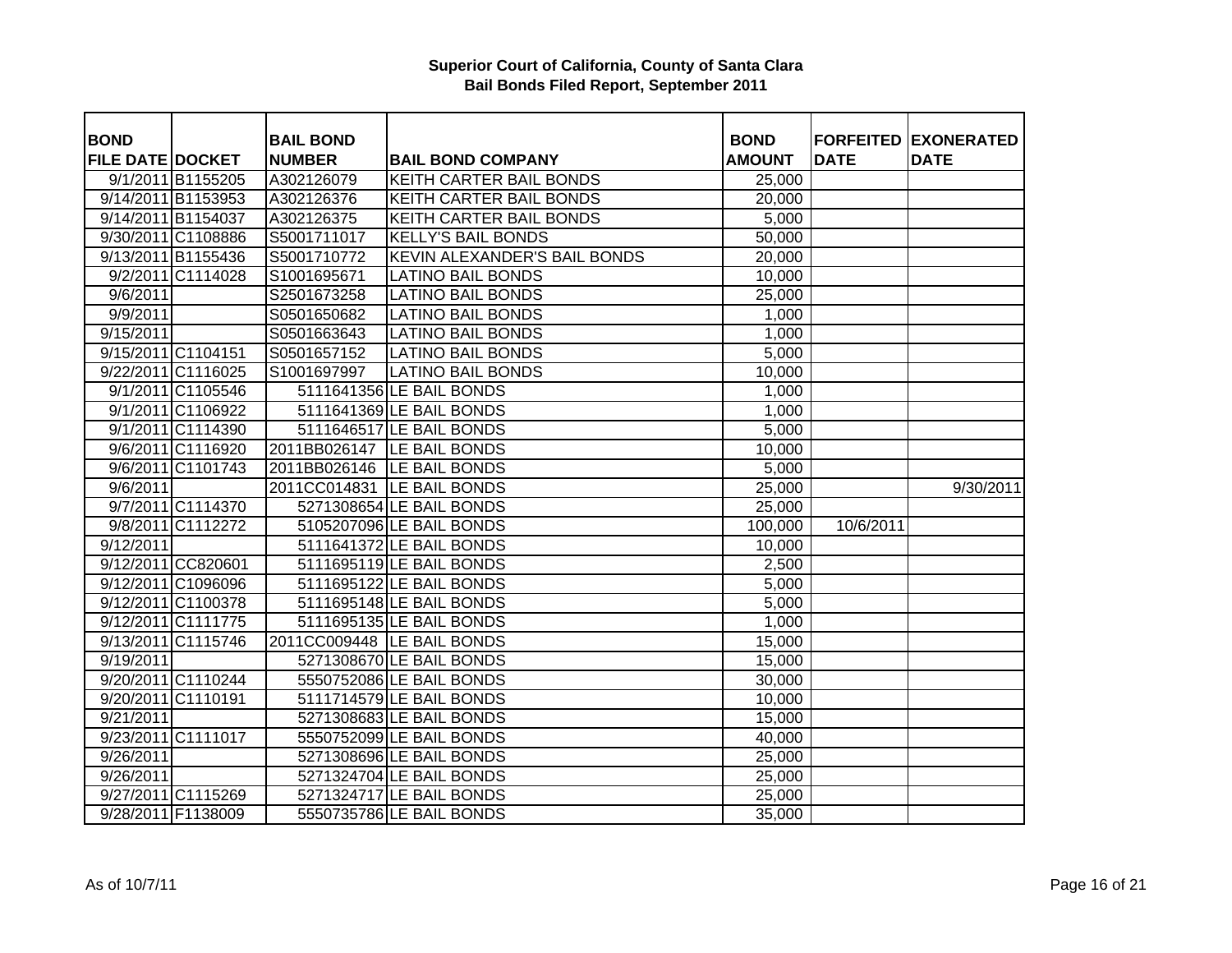| <b>BOND</b>             |                    | <b>BAIL BOND</b> |                                     | <b>BOND</b>   | <b>FORFEITED</b> | <b>EXONERATED</b> |
|-------------------------|--------------------|------------------|-------------------------------------|---------------|------------------|-------------------|
| <b>FILE DATE DOCKET</b> |                    | <b>NUMBER</b>    | <b>BAIL BOND COMPANY</b>            | <b>AMOUNT</b> | <b>DATE</b>      | <b>DATE</b>       |
|                         | 9/1/2011 B1155205  | A302126079       | <b>KEITH CARTER BAIL BONDS</b>      | 25,000        |                  |                   |
|                         | 9/14/2011 B1153953 | A302126376       | <b>KEITH CARTER BAIL BONDS</b>      | 20,000        |                  |                   |
|                         | 9/14/2011 B1154037 | A302126375       | KEITH CARTER BAIL BONDS             | 5,000         |                  |                   |
|                         | 9/30/2011 C1108886 | S5001711017      | <b>KELLY'S BAIL BONDS</b>           | 50,000        |                  |                   |
|                         | 9/13/2011 B1155436 | S5001710772      | <b>KEVIN ALEXANDER'S BAIL BONDS</b> | 20,000        |                  |                   |
|                         | 9/2/2011 C1114028  | S1001695671      | <b>LATINO BAIL BONDS</b>            | 10,000        |                  |                   |
| 9/6/2011                |                    | S2501673258      | <b>LATINO BAIL BONDS</b>            | 25,000        |                  |                   |
| 9/9/2011                |                    | S0501650682      | <b>LATINO BAIL BONDS</b>            | 1,000         |                  |                   |
| $\overline{9/15/2011}$  |                    | S0501663643      | <b>LATINO BAIL BONDS</b>            | 1,000         |                  |                   |
|                         | 9/15/2011 C1104151 | S0501657152      | <b>LATINO BAIL BONDS</b>            | 5,000         |                  |                   |
|                         | 9/22/2011 C1116025 | S1001697997      | <b>LATINO BAIL BONDS</b>            | 10,000        |                  |                   |
|                         | 9/1/2011 C1105546  |                  | 5111641356 LE BAIL BONDS            | 1,000         |                  |                   |
|                         | 9/1/2011 C1106922  |                  | 5111641369 LE BAIL BONDS            | 1,000         |                  |                   |
|                         | 9/1/2011 C1114390  |                  | 5111646517 LE BAIL BONDS            | 5,000         |                  |                   |
|                         | 9/6/2011 C1116920  |                  | 2011BB026147   LE BAIL BONDS        | 10,000        |                  |                   |
|                         | 9/6/2011 C1101743  |                  | 2011BB026146 LE BAIL BONDS          | 5,000         |                  |                   |
| 9/6/2011                |                    |                  | 2011CC014831 LE BAIL BONDS          | 25,000        |                  | 9/30/2011         |
|                         | 9/7/2011 C1114370  |                  | 5271308654 LE BAIL BONDS            | 25,000        |                  |                   |
|                         | 9/8/2011 C1112272  |                  | 5105207096 LE BAIL BONDS            | 100,000       | 10/6/2011        |                   |
| $\overline{9/12/2011}$  |                    |                  | 5111641372 LE BAIL BONDS            | 10,000        |                  |                   |
|                         | 9/12/2011 CC820601 |                  | 5111695119 LE BAIL BONDS            | 2,500         |                  |                   |
|                         | 9/12/2011 C1096096 |                  | 5111695122 LE BAIL BONDS            | 5,000         |                  |                   |
|                         | 9/12/2011 C1100378 |                  | 5111695148 LE BAIL BONDS            | 5,000         |                  |                   |
|                         | 9/12/2011 C1111775 |                  | 5111695135 LE BAIL BONDS            | 1,000         |                  |                   |
|                         | 9/13/2011 C1115746 |                  | 2011CC009448   LE BAIL BONDS        | 15,000        |                  |                   |
| 9/19/2011               |                    |                  | 5271308670 LE BAIL BONDS            | 15,000        |                  |                   |
|                         | 9/20/2011 C1110244 |                  | 5550752086 LE BAIL BONDS            | 30,000        |                  |                   |
|                         | 9/20/2011 C1110191 |                  | 5111714579 LE BAIL BONDS            | 10,000        |                  |                   |
| 9/21/2011               |                    |                  | 5271308683 LE BAIL BONDS            | 15,000        |                  |                   |
|                         | 9/23/2011 C1111017 |                  | 5550752099 LE BAIL BONDS            | 40,000        |                  |                   |
| 9/26/2011               |                    |                  | 5271308696 LE BAIL BONDS            | 25,000        |                  |                   |
| 9/26/2011               |                    |                  | 5271324704 LE BAIL BONDS            | 25,000        |                  |                   |
|                         | 9/27/2011 C1115269 |                  | 5271324717 LE BAIL BONDS            | 25,000        |                  |                   |
|                         | 9/28/2011 F1138009 |                  | 5550735786 LE BAIL BONDS            | 35,000        |                  |                   |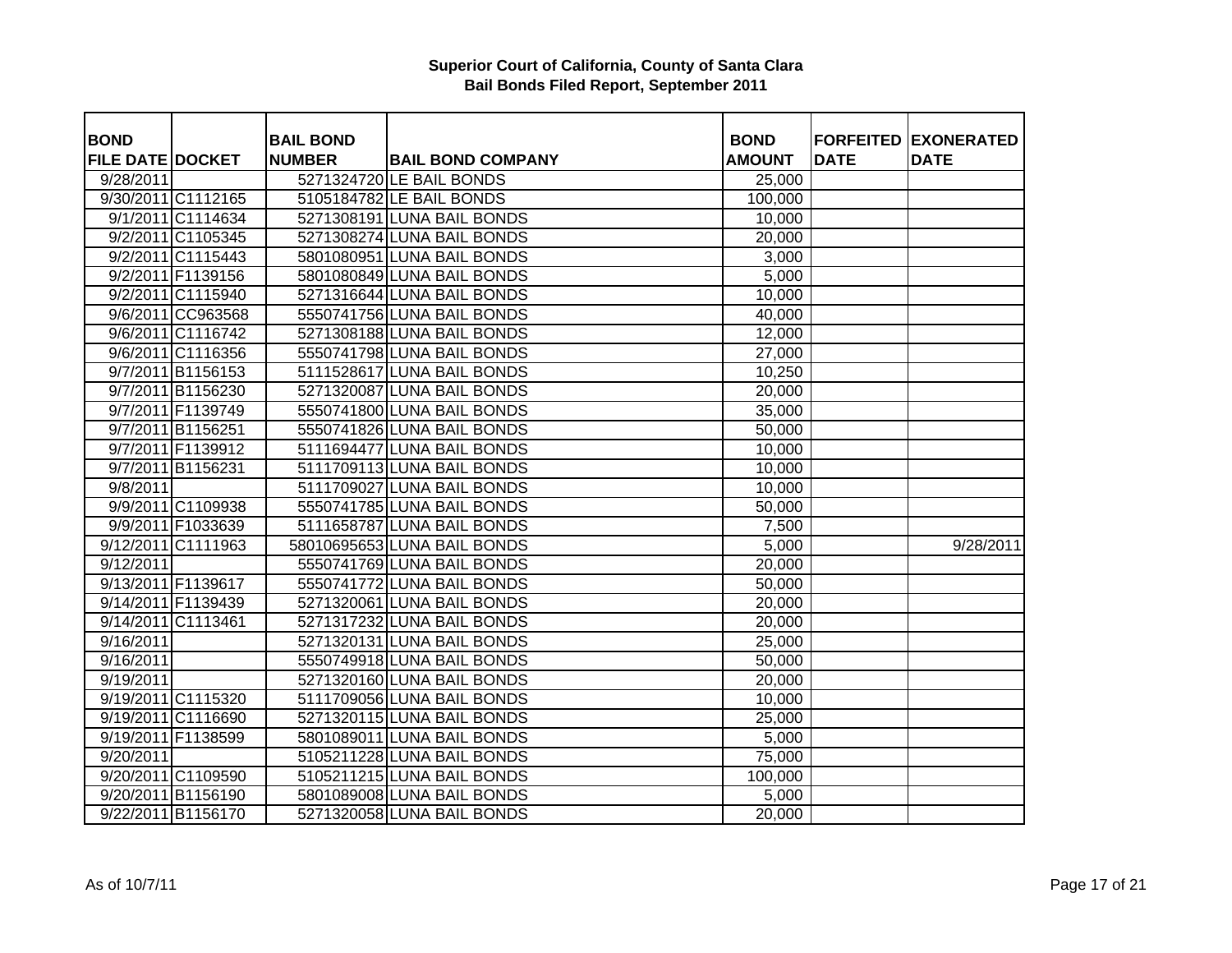| <b>BOND</b>             |                    | <b>BAIL BOND</b> |                             | <b>BOND</b>   |             | <b>FORFEITED EXONERATED</b> |
|-------------------------|--------------------|------------------|-----------------------------|---------------|-------------|-----------------------------|
| <b>FILE DATE DOCKET</b> |                    | <b>NUMBER</b>    | <b>BAIL BOND COMPANY</b>    | <b>AMOUNT</b> | <b>DATE</b> | <b>DATE</b>                 |
| 9/28/2011               |                    |                  | 5271324720 LE BAIL BONDS    | 25,000        |             |                             |
|                         | 9/30/2011 C1112165 |                  | 5105184782 LE BAIL BONDS    | 100,000       |             |                             |
|                         | 9/1/2011 C1114634  |                  | 5271308191 LUNA BAIL BONDS  | 10,000        |             |                             |
|                         | 9/2/2011 C1105345  |                  | 5271308274 LUNA BAIL BONDS  | 20,000        |             |                             |
|                         | 9/2/2011 C1115443  |                  | 5801080951 LUNA BAIL BONDS  | 3,000         |             |                             |
|                         | 9/2/2011 F1139156  |                  | 5801080849 LUNA BAIL BONDS  | 5,000         |             |                             |
|                         | 9/2/2011 C1115940  |                  | 5271316644 LUNA BAIL BONDS  | 10,000        |             |                             |
|                         | 9/6/2011 CC963568  |                  | 5550741756 LUNA BAIL BONDS  | 40,000        |             |                             |
|                         | 9/6/2011 C1116742  |                  | 5271308188 LUNA BAIL BONDS  | 12,000        |             |                             |
|                         | 9/6/2011 C1116356  |                  | 5550741798 LUNA BAIL BONDS  | 27,000        |             |                             |
|                         | 9/7/2011 B1156153  |                  | 5111528617 LUNA BAIL BONDS  | 10,250        |             |                             |
|                         | 9/7/2011 B1156230  |                  | 5271320087 LUNA BAIL BONDS  | 20,000        |             |                             |
|                         | 9/7/2011 F1139749  |                  | 5550741800 LUNA BAIL BONDS  | 35,000        |             |                             |
|                         | 9/7/2011 B1156251  |                  | 5550741826 LUNA BAIL BONDS  | 50,000        |             |                             |
|                         | 9/7/2011 F1139912  |                  | 5111694477 LUNA BAIL BONDS  | 10,000        |             |                             |
|                         | 9/7/2011 B1156231  |                  | 5111709113 LUNA BAIL BONDS  | 10,000        |             |                             |
| 9/8/2011                |                    |                  | 5111709027 LUNA BAIL BONDS  | 10,000        |             |                             |
|                         | 9/9/2011 C1109938  |                  | 5550741785 LUNA BAIL BONDS  | 50,000        |             |                             |
|                         | 9/9/2011 F1033639  |                  | 5111658787 LUNA BAIL BONDS  | 7,500         |             |                             |
|                         | 9/12/2011 C1111963 |                  | 58010695653 LUNA BAIL BONDS | 5,000         |             | 9/28/2011                   |
| 9/12/2011               |                    |                  | 5550741769 LUNA BAIL BONDS  | 20,000        |             |                             |
|                         | 9/13/2011 F1139617 |                  | 5550741772 LUNA BAIL BONDS  | 50,000        |             |                             |
|                         | 9/14/2011 F1139439 |                  | 5271320061 LUNA BAIL BONDS  | 20,000        |             |                             |
|                         | 9/14/2011 C1113461 |                  | 5271317232 LUNA BAIL BONDS  | 20,000        |             |                             |
| 9/16/2011               |                    |                  | 5271320131 LUNA BAIL BONDS  | 25,000        |             |                             |
| 9/16/2011               |                    |                  | 5550749918 LUNA BAIL BONDS  | 50,000        |             |                             |
| 9/19/2011               |                    |                  | 5271320160 LUNA BAIL BONDS  | 20,000        |             |                             |
|                         | 9/19/2011 C1115320 |                  | 5111709056 LUNA BAIL BONDS  | 10,000        |             |                             |
|                         | 9/19/2011 C1116690 |                  | 5271320115 LUNA BAIL BONDS  | 25,000        |             |                             |
|                         | 9/19/2011 F1138599 |                  | 5801089011 LUNA BAIL BONDS  | 5,000         |             |                             |
| 9/20/2011               |                    |                  | 5105211228 LUNA BAIL BONDS  | 75,000        |             |                             |
|                         | 9/20/2011 C1109590 |                  | 5105211215 LUNA BAIL BONDS  | 100,000       |             |                             |
|                         | 9/20/2011 B1156190 |                  | 5801089008 LUNA BAIL BONDS  | 5,000         |             |                             |
|                         | 9/22/2011 B1156170 |                  | 5271320058 LUNA BAIL BONDS  | 20,000        |             |                             |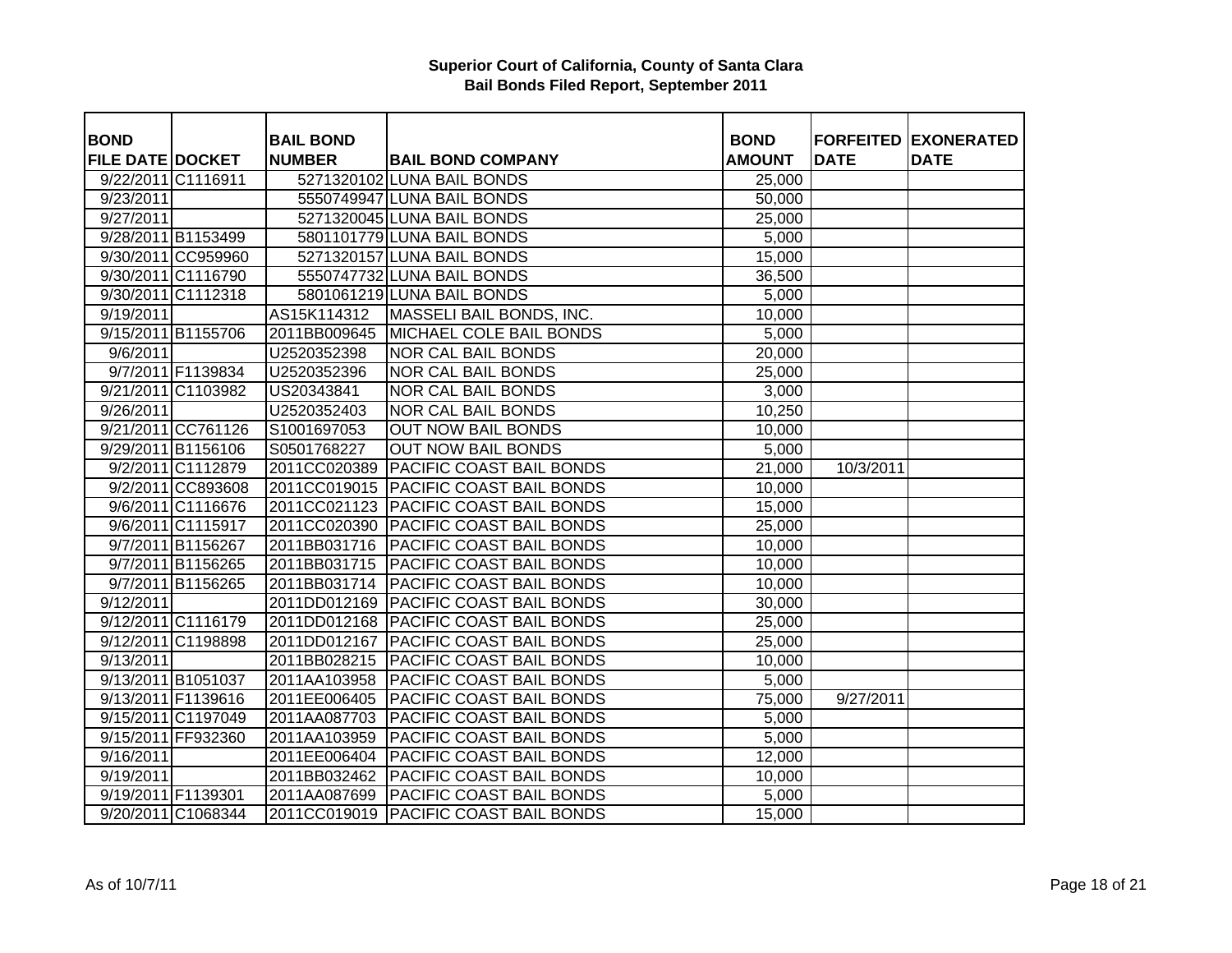| <b>BOND</b>             |                    | <b>BAIL BOND</b> |                                         | <b>BOND</b>   |             | <b>FORFEITED EXONERATED</b> |
|-------------------------|--------------------|------------------|-----------------------------------------|---------------|-------------|-----------------------------|
| <b>FILE DATE DOCKET</b> |                    | <b>NUMBER</b>    | <b>BAIL BOND COMPANY</b>                | <b>AMOUNT</b> | <b>DATE</b> | <b>DATE</b>                 |
|                         | 9/22/2011 C1116911 |                  | 5271320102 LUNA BAIL BONDS              | 25,000        |             |                             |
| 9/23/2011               |                    |                  | 5550749947 LUNA BAIL BONDS              | 50,000        |             |                             |
| 9/27/2011               |                    |                  | 5271320045 LUNA BAIL BONDS              | 25,000        |             |                             |
|                         | 9/28/2011 B1153499 |                  | 5801101779 LUNA BAIL BONDS              | 5,000         |             |                             |
|                         | 9/30/2011 CC959960 |                  | 5271320157 LUNA BAIL BONDS              | 15,000        |             |                             |
|                         | 9/30/2011 C1116790 |                  | 5550747732 LUNA BAIL BONDS              | 36,500        |             |                             |
|                         | 9/30/2011 C1112318 |                  | 5801061219 LUNA BAIL BONDS              | 5,000         |             |                             |
| 9/19/2011               |                    | AS15K114312      | MASSELI BAIL BONDS, INC.                | 10,000        |             |                             |
|                         | 9/15/2011 B1155706 | 2011BB009645     | MICHAEL COLE BAIL BONDS                 | 5,000         |             |                             |
| 9/6/2011                |                    | U2520352398      | <b>NOR CAL BAIL BONDS</b>               | 20,000        |             |                             |
|                         | 9/7/2011 F1139834  | U2520352396      | <b>NOR CAL BAIL BONDS</b>               | 25,000        |             |                             |
|                         | 9/21/2011 C1103982 | US20343841       | <b>NOR CAL BAIL BONDS</b>               | 3,000         |             |                             |
| 9/26/2011               |                    | U2520352403      | NOR CAL BAIL BONDS                      | 10,250        |             |                             |
|                         | 9/21/2011 CC761126 | S1001697053      | <b>OUT NOW BAIL BONDS</b>               | 10,000        |             |                             |
|                         | 9/29/2011 B1156106 | S0501768227      | <b>OUT NOW BAIL BONDS</b>               | 5,000         |             |                             |
|                         | 9/2/2011 C1112879  | 2011CC020389     | <b>PACIFIC COAST BAIL BONDS</b>         | 21,000        | 10/3/2011   |                             |
|                         | 9/2/2011 CC893608  |                  | 2011CC019015   PACIFIC COAST BAIL BONDS | 10,000        |             |                             |
|                         | 9/6/2011 C1116676  |                  | 2011CC021123 PACIFIC COAST BAIL BONDS   | 15,000        |             |                             |
|                         | 9/6/2011 C1115917  |                  | 2011CC020390 PACIFIC COAST BAIL BONDS   | 25,000        |             |                             |
|                         | 9/7/2011 B1156267  |                  | 2011BB031716   PACIFIC COAST BAIL BONDS | 10,000        |             |                             |
|                         | 9/7/2011 B1156265  | 2011BB031715     | <b>PACIFIC COAST BAIL BONDS</b>         | 10,000        |             |                             |
|                         | 9/7/2011 B1156265  |                  | 2011BB031714   PACIFIC COAST BAIL BONDS | 10,000        |             |                             |
| 9/12/2011               |                    |                  | 2011DD012169   PACIFIC COAST BAIL BONDS | 30,000        |             |                             |
|                         | 9/12/2011 C1116179 |                  | 2011DD012168 PACIFIC COAST BAIL BONDS   | 25,000        |             |                             |
|                         | 9/12/2011 C1198898 |                  | 2011DD012167   PACIFIC COAST BAIL BONDS | 25,000        |             |                             |
| 9/13/2011               |                    | 2011BB028215     | <b>PACIFIC COAST BAIL BONDS</b>         | 10,000        |             |                             |
|                         | 9/13/2011 B1051037 | 2011AA103958     | <b>PACIFIC COAST BAIL BONDS</b>         | 5,000         |             |                             |
|                         | 9/13/2011 F1139616 | 2011EE006405     | <b>PACIFIC COAST BAIL BONDS</b>         | 75,000        | 9/27/2011   |                             |
|                         | 9/15/2011 C1197049 | 2011AA087703     | <b>PACIFIC COAST BAIL BONDS</b>         | 5,000         |             |                             |
|                         | 9/15/2011 FF932360 | 2011AA103959     | <b>PACIFIC COAST BAIL BONDS</b>         | 5,000         |             |                             |
| 9/16/2011               |                    | 2011EE006404     | <b>PACIFIC COAST BAIL BONDS</b>         | 12,000        |             |                             |
| 9/19/2011               |                    | 2011BB032462     | <b>PACIFIC COAST BAIL BONDS</b>         | 10,000        |             |                             |
|                         | 9/19/2011 F1139301 | 2011AA087699     | <b>PACIFIC COAST BAIL BONDS</b>         | 5,000         |             |                             |
|                         | 9/20/2011 C1068344 |                  | 2011CC019019 PACIFIC COAST BAIL BONDS   | 15,000        |             |                             |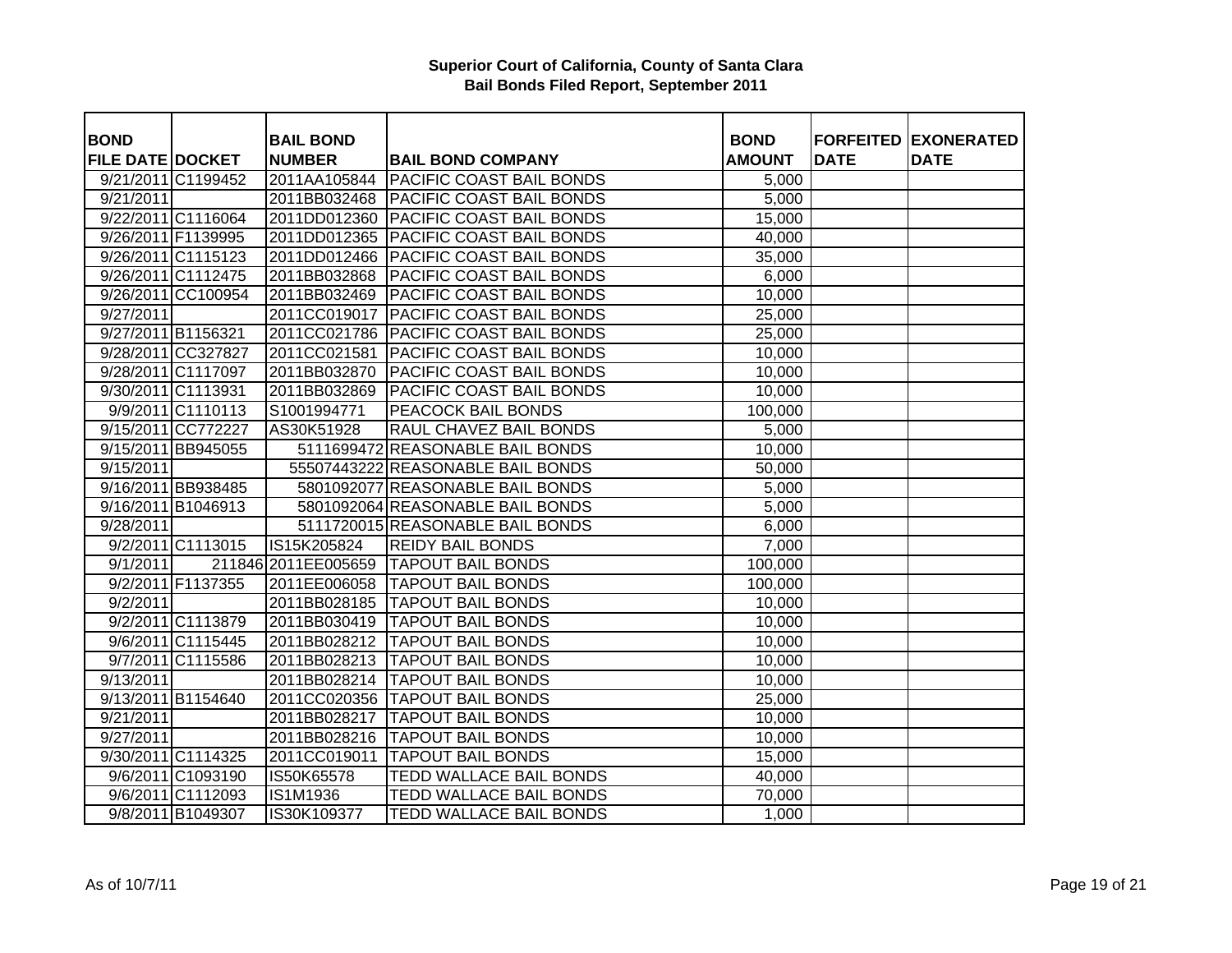| <b>BOND</b>             |                    | <b>BAIL BOND</b>     |                                         | <b>BOND</b>   |             | <b>FORFEITED EXONERATED</b> |
|-------------------------|--------------------|----------------------|-----------------------------------------|---------------|-------------|-----------------------------|
| <b>FILE DATE DOCKET</b> |                    | <b>NUMBER</b>        | <b>BAIL BOND COMPANY</b>                | <b>AMOUNT</b> | <b>DATE</b> | <b>DATE</b>                 |
|                         | 9/21/2011 C1199452 | 2011AA105844         | <b>PACIFIC COAST BAIL BONDS</b>         | 5,000         |             |                             |
| 9/21/2011               |                    | 2011BB032468         | <b>PACIFIC COAST BAIL BONDS</b>         | 5,000         |             |                             |
|                         | 9/22/2011 C1116064 |                      | 2011DD012360 PACIFIC COAST BAIL BONDS   | 15,000        |             |                             |
|                         | 9/26/2011 F1139995 | 2011DD012365         | <b>PACIFIC COAST BAIL BONDS</b>         | 40,000        |             |                             |
|                         | 9/26/2011 C1115123 |                      | 2011DD012466 PACIFIC COAST BAIL BONDS   | 35,000        |             |                             |
|                         | 9/26/2011 C1112475 | 2011BB032868         | <b>PACIFIC COAST BAIL BONDS</b>         | 6,000         |             |                             |
|                         | 9/26/2011 CC100954 | 2011BB032469         | <b>PACIFIC COAST BAIL BONDS</b>         | 10,000        |             |                             |
| 9/27/2011               |                    |                      | 2011CC019017   PACIFIC COAST BAIL BONDS | 25,000        |             |                             |
| 9/27/2011 B1156321      |                    |                      | 2011CC021786   PACIFIC COAST BAIL BONDS | 25,000        |             |                             |
|                         | 9/28/2011 CC327827 | 2011CC021581         | <b>PACIFIC COAST BAIL BONDS</b>         | 10,000        |             |                             |
|                         | 9/28/2011 C1117097 | 2011BB032870         | <b>PACIFIC COAST BAIL BONDS</b>         | 10,000        |             |                             |
|                         | 9/30/2011 C1113931 | 2011BB032869         | <b>PACIFIC COAST BAIL BONDS</b>         | 10,000        |             |                             |
|                         | 9/9/2011 C1110113  | S1001994771          | PEACOCK BAIL BONDS                      | 100,000       |             |                             |
|                         | 9/15/2011 CC772227 | AS30K51928           | RAUL CHAVEZ BAIL BONDS                  | 5,000         |             |                             |
|                         | 9/15/2011 BB945055 |                      | 5111699472 REASONABLE BAIL BONDS        | 10,000        |             |                             |
| 9/15/2011               |                    |                      | 55507443222 REASONABLE BAIL BONDS       | 50,000        |             |                             |
|                         | 9/16/2011 BB938485 |                      | 5801092077 REASONABLE BAIL BONDS        | 5,000         |             |                             |
|                         | 9/16/2011 B1046913 |                      | 5801092064 REASONABLE BAIL BONDS        | 5,000         |             |                             |
| 9/28/2011               |                    |                      | 5111720015 REASONABLE BAIL BONDS        | 6,000         |             |                             |
|                         | 9/2/2011 C1113015  | IS15K205824          | <b>REIDY BAIL BONDS</b>                 | 7,000         |             |                             |
| 9/1/2011                |                    | 211846 2011 EE005659 | <b>TAPOUT BAIL BONDS</b>                | 100,000       |             |                             |
|                         | 9/2/2011 F1137355  | 2011EE006058         | <b>TAPOUT BAIL BONDS</b>                | 100,000       |             |                             |
| 9/2/2011                |                    | 2011BB028185         | <b>TAPOUT BAIL BONDS</b>                | 10,000        |             |                             |
|                         | 9/2/2011 C1113879  | 2011BB030419         | <b>TAPOUT BAIL BONDS</b>                | 10,000        |             |                             |
|                         | 9/6/2011 C1115445  | 2011BB028212         | <b>TAPOUT BAIL BONDS</b>                | 10,000        |             |                             |
|                         | 9/7/2011 C1115586  | 2011BB028213         | <b>TAPOUT BAIL BONDS</b>                | 10,000        |             |                             |
| 9/13/2011               |                    | 2011BB028214         | <b>TAPOUT BAIL BONDS</b>                | 10,000        |             |                             |
|                         | 9/13/2011 B1154640 |                      | 2011CC020356 TAPOUT BAIL BONDS          | 25,000        |             |                             |
| 9/21/2011               |                    | 2011BB028217         | <b>TAPOUT BAIL BONDS</b>                | 10,000        |             |                             |
| 9/27/2011               |                    | 2011BB028216         | <b>TAPOUT BAIL BONDS</b>                | 10,000        |             |                             |
|                         | 9/30/2011 C1114325 | 2011CC019011         | <b>TAPOUT BAIL BONDS</b>                | 15,000        |             |                             |
|                         | 9/6/2011 C1093190  | IS50K65578           | TEDD WALLACE BAIL BONDS                 | 40,000        |             |                             |
|                         | 9/6/2011 C1112093  | <b>IS1M1936</b>      | TEDD WALLACE BAIL BONDS                 | 70,000        |             |                             |
|                         | 9/8/2011 B1049307  | IS30K109377          | TEDD WALLACE BAIL BONDS                 | 1,000         |             |                             |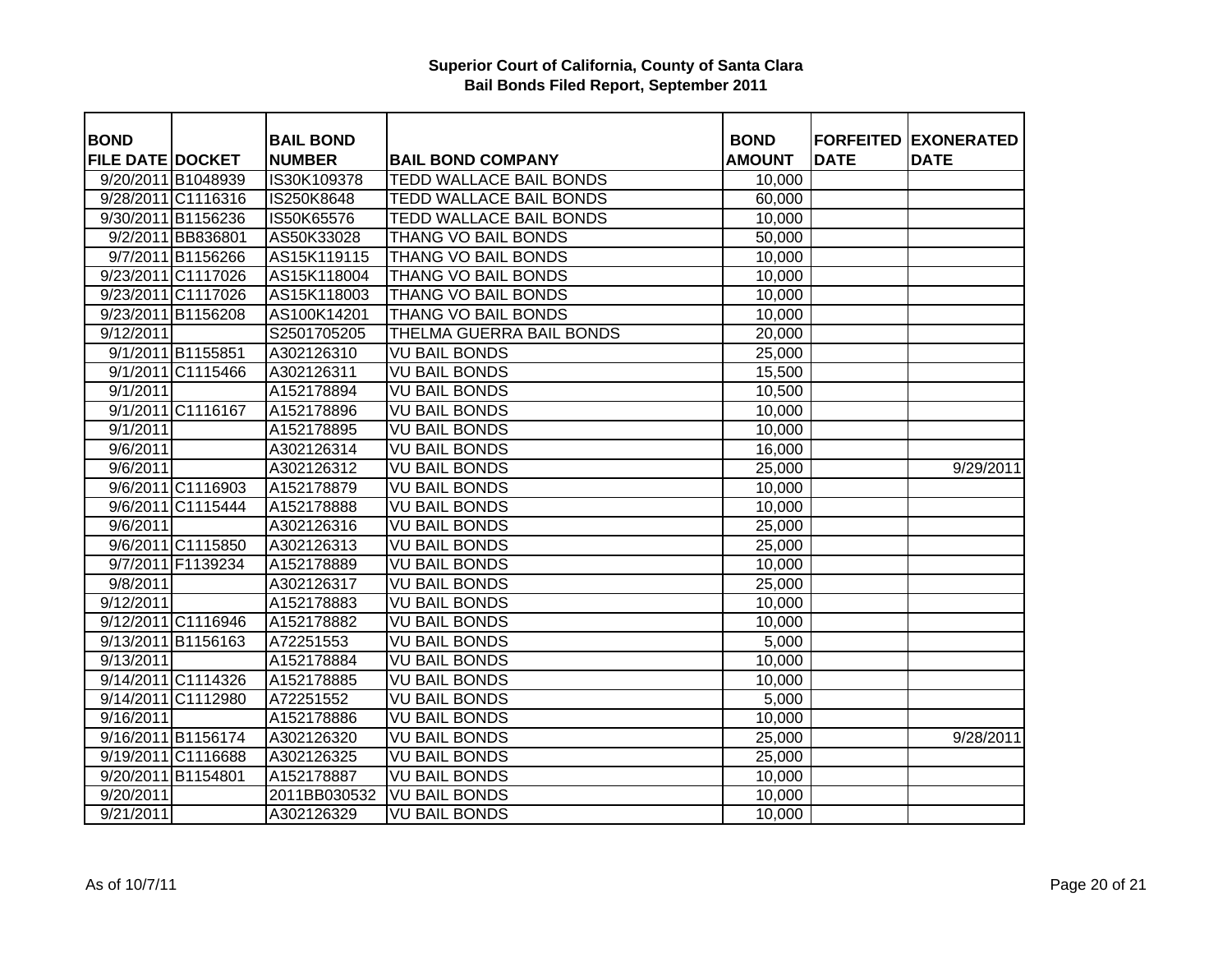| <b>BOND</b>             |                    | <b>BAIL BOND</b> |                                | <b>BOND</b>   |             | <b>FORFEITED EXONERATED</b> |
|-------------------------|--------------------|------------------|--------------------------------|---------------|-------------|-----------------------------|
| <b>FILE DATE DOCKET</b> |                    | <b>NUMBER</b>    | <b>BAIL BOND COMPANY</b>       | <b>AMOUNT</b> | <b>DATE</b> | <b>DATE</b>                 |
|                         | 9/20/2011 B1048939 | IS30K109378      | <b>TEDD WALLACE BAIL BONDS</b> | 10,000        |             |                             |
|                         | 9/28/2011 C1116316 | IS250K8648       | <b>TEDD WALLACE BAIL BONDS</b> | 60,000        |             |                             |
|                         | 9/30/2011 B1156236 | IS50K65576       | <b>TEDD WALLACE BAIL BONDS</b> | 10,000        |             |                             |
|                         | 9/2/2011 BB836801  | AS50K33028       | <b>THANG VO BAIL BONDS</b>     | 50,000        |             |                             |
|                         | 9/7/2011 B1156266  | AS15K119115      | <b>THANG VO BAIL BONDS</b>     | 10,000        |             |                             |
|                         | 9/23/2011 C1117026 | AS15K118004      | <b>THANG VO BAIL BONDS</b>     | 10,000        |             |                             |
|                         | 9/23/2011 C1117026 | AS15K118003      | THANG VO BAIL BONDS            | 10,000        |             |                             |
|                         | 9/23/2011 B1156208 | AS100K14201      | THANG VO BAIL BONDS            | 10,000        |             |                             |
| 9/12/2011               |                    | S2501705205      | THELMA GUERRA BAIL BONDS       | 20,000        |             |                             |
|                         | 9/1/2011 B1155851  | A302126310       | VU BAIL BONDS                  | 25,000        |             |                             |
|                         | 9/1/2011 C1115466  | A302126311       | <b>VU BAIL BONDS</b>           | 15,500        |             |                             |
| 9/1/2011                |                    | A152178894       | <b>VU BAIL BONDS</b>           | 10,500        |             |                             |
|                         | 9/1/2011 C1116167  | A152178896       | <b>VU BAIL BONDS</b>           | 10,000        |             |                             |
| 9/1/2011                |                    | A152178895       | VU BAIL BONDS                  | 10,000        |             |                             |
| 9/6/2011                |                    | A302126314       | <b>VU BAIL BONDS</b>           | 16,000        |             |                             |
| 9/6/2011                |                    | A302126312       | <b>VU BAIL BONDS</b>           | 25,000        |             | 9/29/2011                   |
|                         | 9/6/2011 C1116903  | A152178879       | <b>VU BAIL BONDS</b>           | 10,000        |             |                             |
|                         | 9/6/2011 C1115444  | A152178888       | <b>VU BAIL BONDS</b>           | 10,000        |             |                             |
| 9/6/2011                |                    | A302126316       | <b>VU BAIL BONDS</b>           | 25,000        |             |                             |
|                         | 9/6/2011 C1115850  | A302126313       | <b>VU BAIL BONDS</b>           | 25,000        |             |                             |
|                         | 9/7/2011 F1139234  | A152178889       | <b>VU BAIL BONDS</b>           | 10,000        |             |                             |
| 9/8/2011                |                    | A302126317       | <b>VU BAIL BONDS</b>           | 25,000        |             |                             |
| 9/12/2011               |                    | A152178883       | <b>VU BAIL BONDS</b>           | 10,000        |             |                             |
|                         | 9/12/2011 C1116946 | A152178882       | <b>VU BAIL BONDS</b>           | 10,000        |             |                             |
|                         | 9/13/2011 B1156163 | A72251553        | <b>VU BAIL BONDS</b>           | 5,000         |             |                             |
| 9/13/2011               |                    | A152178884       | <b>VU BAIL BONDS</b>           | 10,000        |             |                             |
|                         | 9/14/2011 C1114326 | A152178885       | <b>VU BAIL BONDS</b>           | 10,000        |             |                             |
|                         | 9/14/2011 C1112980 | A72251552        | <b>VU BAIL BONDS</b>           | 5,000         |             |                             |
| 9/16/2011               |                    | A152178886       | <b>VU BAIL BONDS</b>           | 10,000        |             |                             |
|                         | 9/16/2011 B1156174 | A302126320       | <b>VU BAIL BONDS</b>           | 25,000        |             | 9/28/2011                   |
|                         | 9/19/2011 C1116688 | A302126325       | <b>VU BAIL BONDS</b>           | 25,000        |             |                             |
|                         | 9/20/2011 B1154801 | A152178887       | <b>VU BAIL BONDS</b>           | 10,000        |             |                             |
| 9/20/2011               |                    | 2011BB030532     | <b>VU BAIL BONDS</b>           | 10,000        |             |                             |
| 9/21/2011               |                    | A302126329       | <b>VU BAIL BONDS</b>           | 10,000        |             |                             |